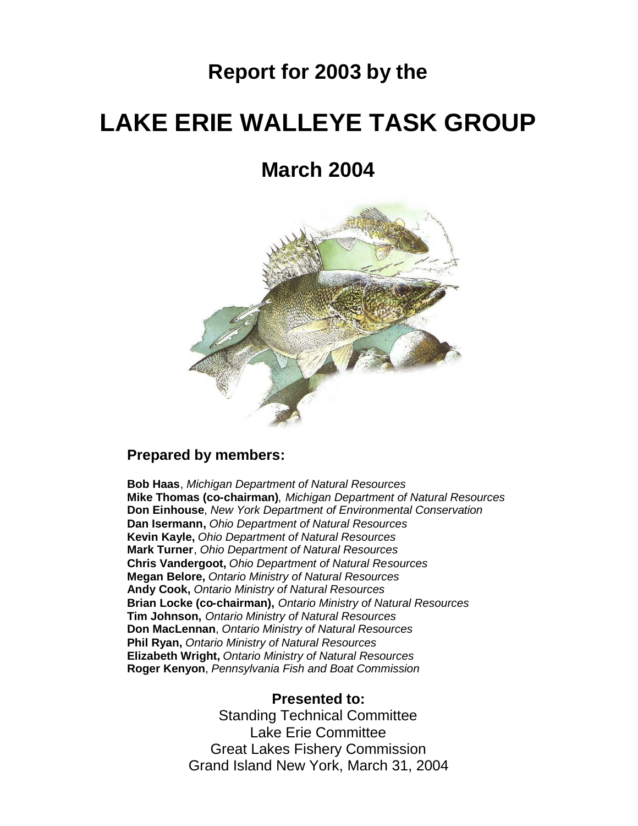# **Report for 2003 by the**

# **LAKE ERIE WALLEYE TASK GROUP**

**March 2004**



#### **Prepared by members:**

**Bob Haas**, *Michigan Department of Natural Resources* **Mike Thomas (co-chairman)**, *Michigan Department of Natural Resources* **Don Einhouse**, *New York Department of Environmental Conservation* **Dan Isermann,** *Ohio Department of Natural Resources* **Kevin Kayle,** *Ohio Department of Natural Resources* **Mark Turner**, *Ohio Department of Natural Resources* **Chris Vandergoot,** *Ohio Department of Natural Resources* **Megan Belore,** *Ontario Ministry of Natural Resources* **Andy Cook,** *Ontario Ministry of Natural Resources* **Brian Locke (co-chairman),** *Ontario Ministry of Natural Resources* **Tim Johnson,** *Ontario Ministry of Natural Resources* **Don MacLennan**, *Ontario Ministry of Natural Resources* **Phil Ryan,** *Ontario Ministry of Natural Resources* **Elizabeth Wright,** *Ontario Ministry of Natural Resources* **Roger Kenyon**, *Pennsylvania Fish and Boat Commission*

#### **Presented to:**

Standing Technical Committee Lake Erie Committee Great Lakes Fishery Commission Grand Island New York, March 31, 2004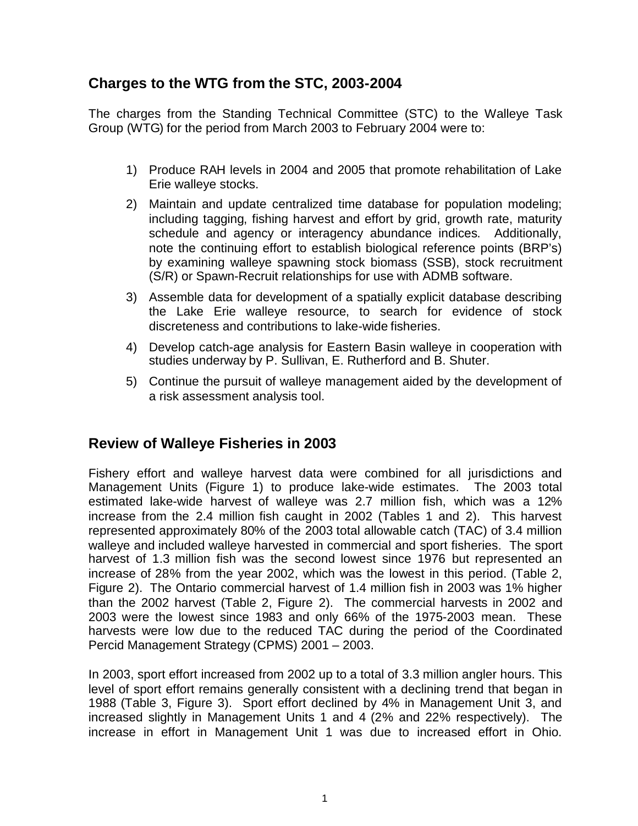# **Charges to the WTG from the STC, 2003-2004**

The charges from the Standing Technical Committee (STC) to the Walleye Task Group (WTG) for the period from March 2003 to February 2004 were to:

- 1) Produce RAH levels in 2004 and 2005 that promote rehabilitation of Lake Erie walleye stocks.
- 2) Maintain and update centralized time database for population modeling; including tagging, fishing harvest and effort by grid, growth rate, maturity schedule and agency or interagency abundance indices. Additionally, note the continuing effort to establish biological reference points (BRP's) by examining walleye spawning stock biomass (SSB), stock recruitment (S/R) or Spawn-Recruit relationships for use with ADMB software.
- 3) Assemble data for development of a spatially explicit database describing the Lake Erie walleye resource, to search for evidence of stock discreteness and contributions to lake-wide fisheries.
- 4) Develop catch-age analysis for Eastern Basin walleye in cooperation with studies underway by P. Sullivan, E. Rutherford and B. Shuter.
- 5) Continue the pursuit of walleye management aided by the development of a risk assessment analysis tool.

# **Review of Walleye Fisheries in 2003**

Fishery effort and walleye harvest data were combined for all jurisdictions and Management Units (Figure 1) to produce lake-wide estimates. The 2003 total estimated lake-wide harvest of walleye was 2.7 million fish, which was a 12% increase from the 2.4 million fish caught in 2002 (Tables 1 and 2). This harvest represented approximately 80% of the 2003 total allowable catch (TAC) of 3.4 million walleye and included walleye harvested in commercial and sport fisheries. The sport harvest of 1.3 million fish was the second lowest since 1976 but represented an increase of 28% from the year 2002, which was the lowest in this period. (Table 2, Figure 2). The Ontario commercial harvest of 1.4 million fish in 2003 was 1% higher than the 2002 harvest (Table 2, Figure 2). The commercial harvests in 2002 and 2003 were the lowest since 1983 and only 66% of the 1975-2003 mean. These harvests were low due to the reduced TAC during the period of the Coordinated Percid Management Strategy (CPMS) 2001 – 2003.

In 2003, sport effort increased from 2002 up to a total of 3.3 million angler hours. This level of sport effort remains generally consistent with a declining trend that began in 1988 (Table 3, Figure 3). Sport effort declined by 4% in Management Unit 3, and increased slightly in Management Units 1 and 4 (2% and 22% respectively). The increase in effort in Management Unit 1 was due to increased effort in Ohio.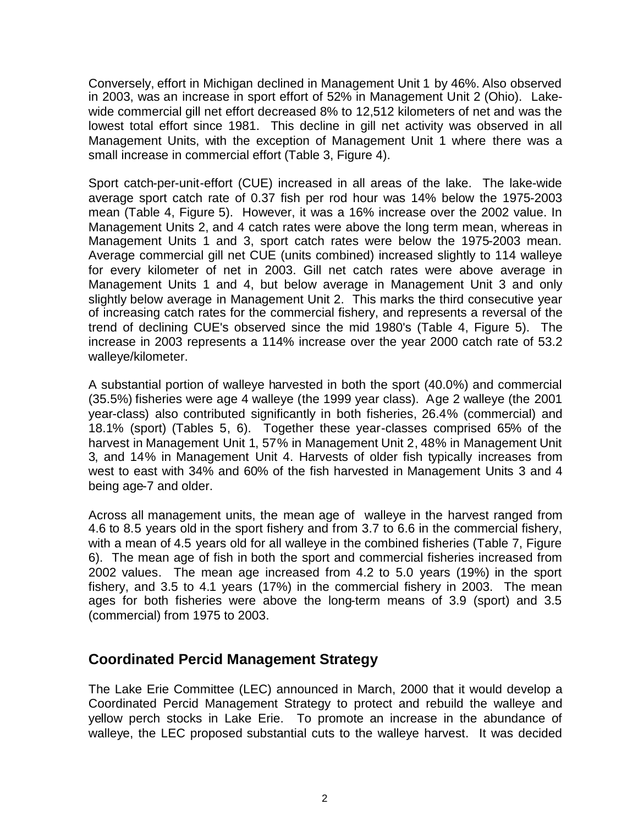Conversely, effort in Michigan declined in Management Unit 1 by 46%. Also observed in 2003, was an increase in sport effort of 52% in Management Unit 2 (Ohio). Lakewide commercial gill net effort decreased 8% to 12,512 kilometers of net and was the lowest total effort since 1981. This decline in gill net activity was observed in all Management Units, with the exception of Management Unit 1 where there was a small increase in commercial effort (Table 3, Figure 4).

Sport catch-per-unit-effort (CUE) increased in all areas of the lake. The lake-wide average sport catch rate of 0.37 fish per rod hour was 14% below the 1975-2003 mean (Table 4, Figure 5). However, it was a 16% increase over the 2002 value. In Management Units 2, and 4 catch rates were above the long term mean, whereas in Management Units 1 and 3, sport catch rates were below the 1975-2003 mean. Average commercial gill net CUE (units combined) increased slightly to 114 walleye for every kilometer of net in 2003. Gill net catch rates were above average in Management Units 1 and 4, but below average in Management Unit 3 and only slightly below average in Management Unit 2. This marks the third consecutive year of increasing catch rates for the commercial fishery, and represents a reversal of the trend of declining CUE's observed since the mid 1980's (Table 4, Figure 5). The increase in 2003 represents a 114% increase over the year 2000 catch rate of 53.2 walleye/kilometer.

A substantial portion of walleye harvested in both the sport (40.0%) and commercial (35.5%) fisheries were age 4 walleye (the 1999 year class). Age 2 walleye (the 2001 year-class) also contributed significantly in both fisheries, 26.4% (commercial) and 18.1% (sport) (Tables 5, 6). Together these year-classes comprised 65% of the harvest in Management Unit 1, 57% in Management Unit 2, 48% in Management Unit 3, and 14% in Management Unit 4. Harvests of older fish typically increases from west to east with 34% and 60% of the fish harvested in Management Units 3 and 4 being age-7 and older.

Across all management units, the mean age of walleye in the harvest ranged from 4.6 to 8.5 years old in the sport fishery and from 3.7 to 6.6 in the commercial fishery, with a mean of 4.5 years old for all walleye in the combined fisheries (Table 7, Figure 6). The mean age of fish in both the sport and commercial fisheries increased from 2002 values. The mean age increased from 4.2 to 5.0 years (19%) in the sport fishery, and 3.5 to 4.1 years (17%) in the commercial fishery in 2003. The mean ages for both fisheries were above the long-term means of 3.9 (sport) and 3.5 (commercial) from 1975 to 2003.

#### **Coordinated Percid Management Strategy**

The Lake Erie Committee (LEC) announced in March, 2000 that it would develop a Coordinated Percid Management Strategy to protect and rebuild the walleye and yellow perch stocks in Lake Erie. To promote an increase in the abundance of walleye, the LEC proposed substantial cuts to the walleye harvest. It was decided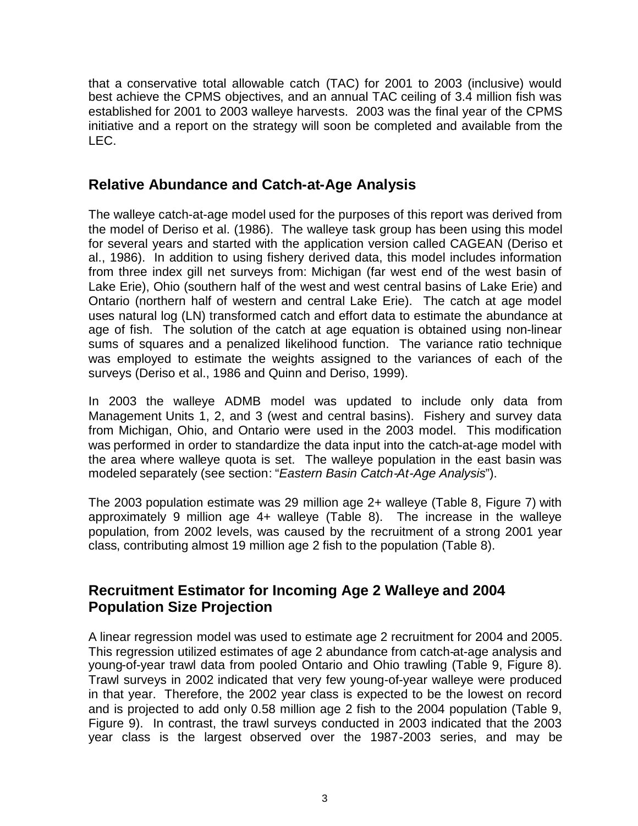that a conservative total allowable catch (TAC) for 2001 to 2003 (inclusive) would best achieve the CPMS objectives, and an annual TAC ceiling of 3.4 million fish was established for 2001 to 2003 walleye harvests. 2003 was the final year of the CPMS initiative and a report on the strategy will soon be completed and available from the  $IEC.$ 

# **Relative Abundance and Catch-at-Age Analysis**

The walleye catch-at-age model used for the purposes of this report was derived from the model of Deriso et al. (1986). The walleye task group has been using this model for several years and started with the application version called CAGEAN (Deriso et al., 1986). In addition to using fishery derived data, this model includes information from three index gill net surveys from: Michigan (far west end of the west basin of Lake Erie), Ohio (southern half of the west and west central basins of Lake Erie) and Ontario (northern half of western and central Lake Erie). The catch at age model uses natural log (LN) transformed catch and effort data to estimate the abundance at age of fish. The solution of the catch at age equation is obtained using non-linear sums of squares and a penalized likelihood function. The variance ratio technique was employed to estimate the weights assigned to the variances of each of the surveys (Deriso et al., 1986 and Quinn and Deriso, 1999).

In 2003 the walleye ADMB model was updated to include only data from Management Units 1, 2, and 3 (west and central basins). Fishery and survey data from Michigan, Ohio, and Ontario were used in the 2003 model. This modification was performed in order to standardize the data input into the catch-at-age model with the area where walleye quota is set. The walleye population in the east basin was modeled separately (see section: "*Eastern Basin Catch-At-Age Analysis*").

The 2003 population estimate was 29 million age 2+ walleye (Table 8, Figure 7) with approximately 9 million age 4+ walleye (Table 8). The increase in the walleye population, from 2002 levels, was caused by the recruitment of a strong 2001 year class, contributing almost 19 million age 2 fish to the population (Table 8).

# **Recruitment Estimator for Incoming Age 2 Walleye and 2004 Population Size Projection**

A linear regression model was used to estimate age 2 recruitment for 2004 and 2005. This regression utilized estimates of age 2 abundance from catch-at-age analysis and young-of-year trawl data from pooled Ontario and Ohio trawling (Table 9, Figure 8). Trawl surveys in 2002 indicated that very few young-of-year walleye were produced in that year. Therefore, the 2002 year class is expected to be the lowest on record and is projected to add only 0.58 million age 2 fish to the 2004 population (Table 9, Figure 9). In contrast, the trawl surveys conducted in 2003 indicated that the 2003 year class is the largest observed over the 1987-2003 series, and may be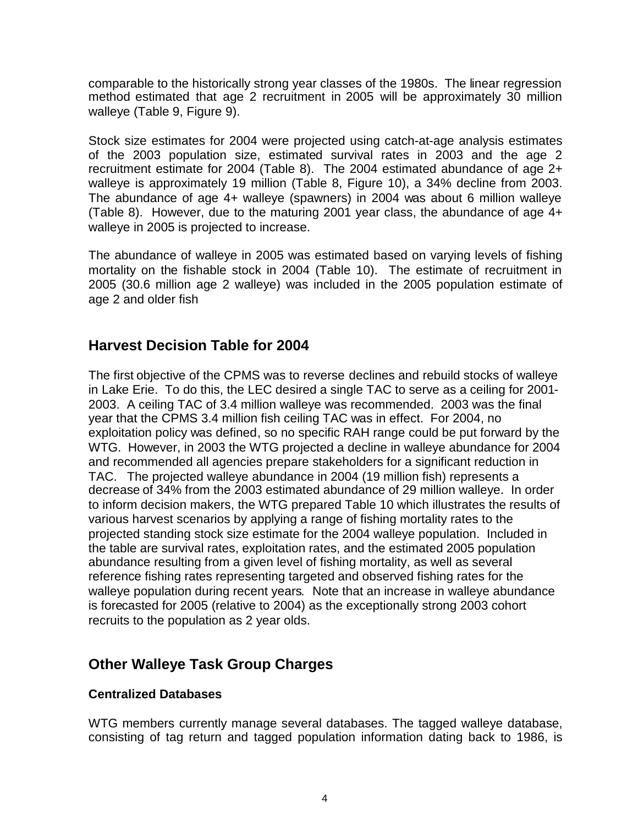comparable to the historically strong year classes of the 1980s. The linear regression method estimated that age 2 recruitment in 2005 will be approximately 30 million walleye (Table 9, Figure 9).

Stock size estimates for 2004 were projected using catch-at-age analysis estimates of the 2003 population size, estimated survival rates in 2003 and the age 2 recruitment estimate for 2004 (Table 8). The 2004 estimated abundance of age 2+ walleye is approximately 19 million (Table 8, Figure 10), a 34% decline from 2003. The abundance of age 4+ walleye (spawners) in 2004 was about 6 million walleye (Table 8). However, due to the maturing 2001 year class, the abundance of age 4+ walleye in 2005 is projected to increase.

The abundance of walleye in 2005 was estimated based on varying levels of fishing mortality on the fishable stock in 2004 (Table 10). The estimate of recruitment in 2005 (30.6 million age 2 walleye) was included in the 2005 population estimate of age 2 and older fish

#### **Harvest Decision Table for 2004**

The first objective of the CPMS was to reverse declines and rebuild stocks of walleye in Lake Erie. To do this, the LEC desired a single TAC to serve as a ceiling for 2001- 2003. A ceiling TAC of 3.4 million walleye was recommended. 2003 was the final year that the CPMS 3.4 million fish ceiling TAC was in effect. For 2004, no exploitation policy was defined, so no specific RAH range could be put forward by the WTG. However, in 2003 the WTG projected a decline in walleye abundance for 2004 and recommended all agencies prepare stakeholders for a significant reduction in TAC. The projected walleye abundance in 2004 (19 million fish) represents a decrease of 34% from the 2003 estimated abundance of 29 million walleye. In order to inform decision makers, the WTG prepared Table 10 which illustrates the results of various harvest scenarios by applying a range of fishing mortality rates to the projected standing stock size estimate for the 2004 walleye population. Included in the table are survival rates, exploitation rates, and the estimated 2005 population abundance resulting from a given level of fishing mortality, as well as several reference fishing rates representing targeted and observed fishing rates for the walleye population during recent years. Note that an increase in walleye abundance is forecasted for 2005 (relative to 2004) as the exceptionally strong 2003 cohort recruits to the population as 2 year olds.

# **Other Walleye Task Group Charges**

#### **Centralized Databases**

WTG members currently manage several databases. The tagged walleye database, consisting of tag return and tagged population information dating back to 1986, is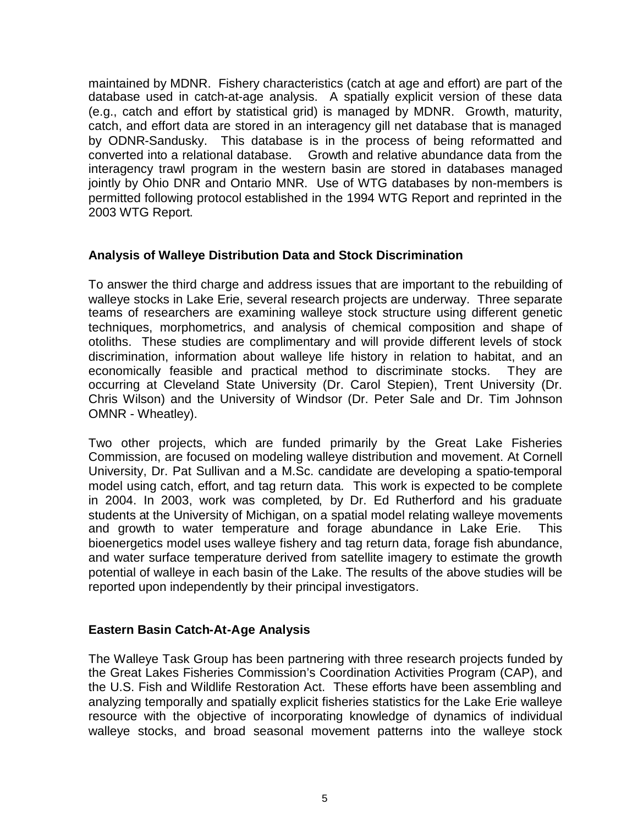maintained by MDNR. Fishery characteristics (catch at age and effort) are part of the database used in catch-at-age analysis. A spatially explicit version of these data (e.g., catch and effort by statistical grid) is managed by MDNR. Growth, maturity, catch, and effort data are stored in an interagency gill net database that is managed by ODNR-Sandusky. This database is in the process of being reformatted and converted into a relational database. Growth and relative abundance data from the interagency trawl program in the western basin are stored in databases managed jointly by Ohio DNR and Ontario MNR. Use of WTG databases by non-members is permitted following protocol established in the 1994 WTG Report and reprinted in the 2003 WTG Report.

#### **Analysis of Walleye Distribution Data and Stock Discrimination**

To answer the third charge and address issues that are important to the rebuilding of walleye stocks in Lake Erie, several research projects are underway. Three separate teams of researchers are examining walleye stock structure using different genetic techniques, morphometrics, and analysis of chemical composition and shape of otoliths. These studies are complimentary and will provide different levels of stock discrimination, information about walleye life history in relation to habitat, and an economically feasible and practical method to discriminate stocks. They are occurring at Cleveland State University (Dr. Carol Stepien), Trent University (Dr. Chris Wilson) and the University of Windsor (Dr. Peter Sale and Dr. Tim Johnson OMNR - Wheatley).

Two other projects, which are funded primarily by the Great Lake Fisheries Commission, are focused on modeling walleye distribution and movement. At Cornell University, Dr. Pat Sullivan and a M.Sc. candidate are developing a spatio-temporal model using catch, effort, and tag return data. This work is expected to be complete in 2004. In 2003, work was completed, by Dr. Ed Rutherford and his graduate students at the University of Michigan, on a spatial model relating walleye movements and growth to water temperature and forage abundance in Lake Erie. This bioenergetics model uses walleye fishery and tag return data, forage fish abundance, and water surface temperature derived from satellite imagery to estimate the growth potential of walleye in each basin of the Lake. The results of the above studies will be reported upon independently by their principal investigators.

#### **Eastern Basin Catch-At-Age Analysis**

The Walleye Task Group has been partnering with three research projects funded by the Great Lakes Fisheries Commission's Coordination Activities Program (CAP), and the U.S. Fish and Wildlife Restoration Act. These efforts have been assembling and analyzing temporally and spatially explicit fisheries statistics for the Lake Erie walleye resource with the objective of incorporating knowledge of dynamics of individual walleye stocks, and broad seasonal movement patterns into the walleye stock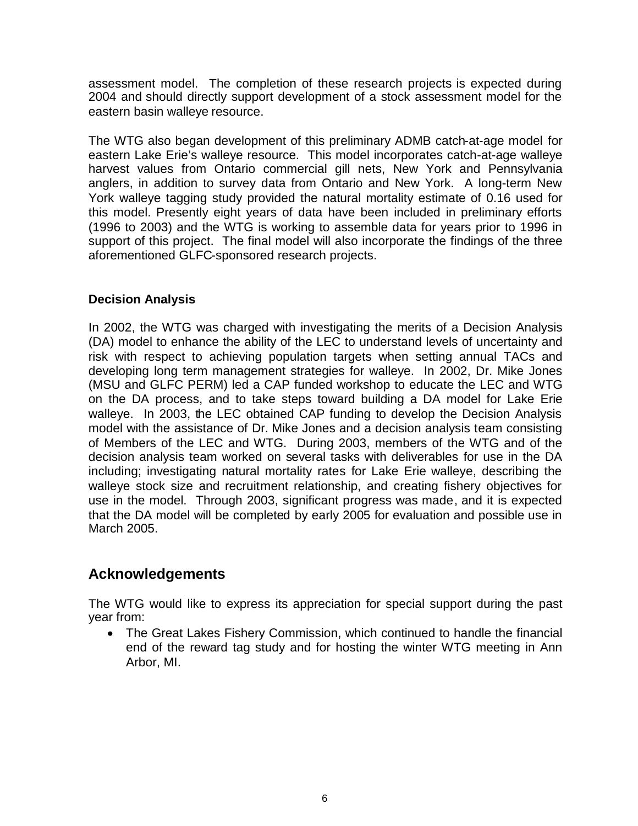assessment model. The completion of these research projects is expected during 2004 and should directly support development of a stock assessment model for the eastern basin walleye resource.

The WTG also began development of this preliminary ADMB catch-at-age model for eastern Lake Erie's walleye resource. This model incorporates catch-at-age walleye harvest values from Ontario commercial gill nets, New York and Pennsylvania anglers, in addition to survey data from Ontario and New York. A long-term New York walleye tagging study provided the natural mortality estimate of 0.16 used for this model. Presently eight years of data have been included in preliminary efforts (1996 to 2003) and the WTG is working to assemble data for years prior to 1996 in support of this project. The final model will also incorporate the findings of the three aforementioned GLFC-sponsored research projects.

#### **Decision Analysis**

In 2002, the WTG was charged with investigating the merits of a Decision Analysis (DA) model to enhance the ability of the LEC to understand levels of uncertainty and risk with respect to achieving population targets when setting annual TACs and developing long term management strategies for walleye. In 2002, Dr. Mike Jones (MSU and GLFC PERM) led a CAP funded workshop to educate the LEC and WTG on the DA process, and to take steps toward building a DA model for Lake Erie walleye. In 2003, the LEC obtained CAP funding to develop the Decision Analysis model with the assistance of Dr. Mike Jones and a decision analysis team consisting of Members of the LEC and WTG. During 2003, members of the WTG and of the decision analysis team worked on several tasks with deliverables for use in the DA including; investigating natural mortality rates for Lake Erie walleye, describing the walleye stock size and recruitment relationship, and creating fishery objectives for use in the model. Through 2003, significant progress was made, and it is expected that the DA model will be completed by early 2005 for evaluation and possible use in March 2005.

#### **Acknowledgements**

The WTG would like to express its appreciation for special support during the past year from:

• The Great Lakes Fishery Commission, which continued to handle the financial end of the reward tag study and for hosting the winter WTG meeting in Ann Arbor, MI.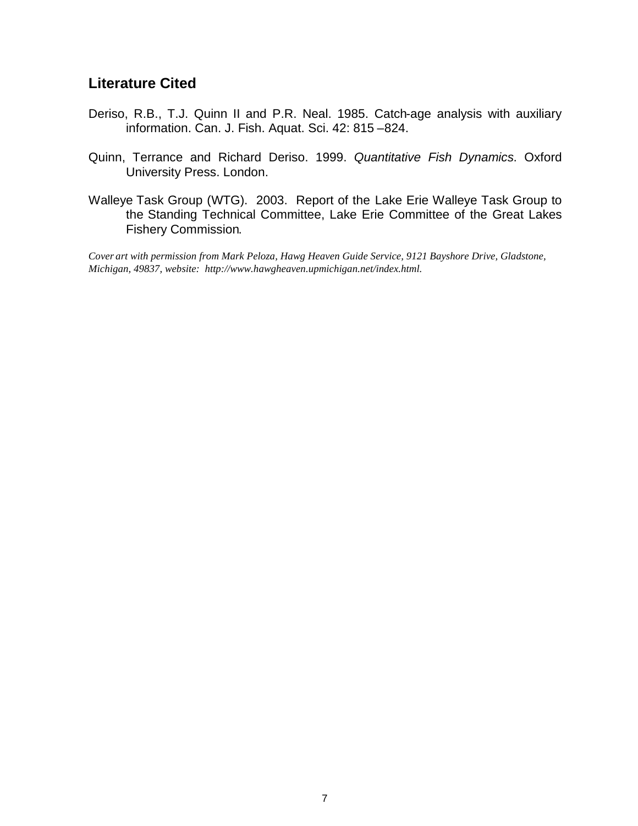### **Literature Cited**

- Deriso, R.B., T.J. Quinn II and P.R. Neal. 1985. Catch-age analysis with auxiliary information. Can. J. Fish. Aquat. Sci. 42: 815 –824.
- Quinn, Terrance and Richard Deriso. 1999. *Quantitative Fish Dynamics*. Oxford University Press. London.
- Walleye Task Group (WTG). 2003. Report of the Lake Erie Walleye Task Group to the Standing Technical Committee, Lake Erie Committee of the Great Lakes Fishery Commission.

*Cover art with permission from Mark Peloza, Hawg Heaven Guide Service, 9121 Bayshore Drive, Gladstone, Michigan, 49837, website: http://www.hawgheaven.upmichigan.net/index.html.*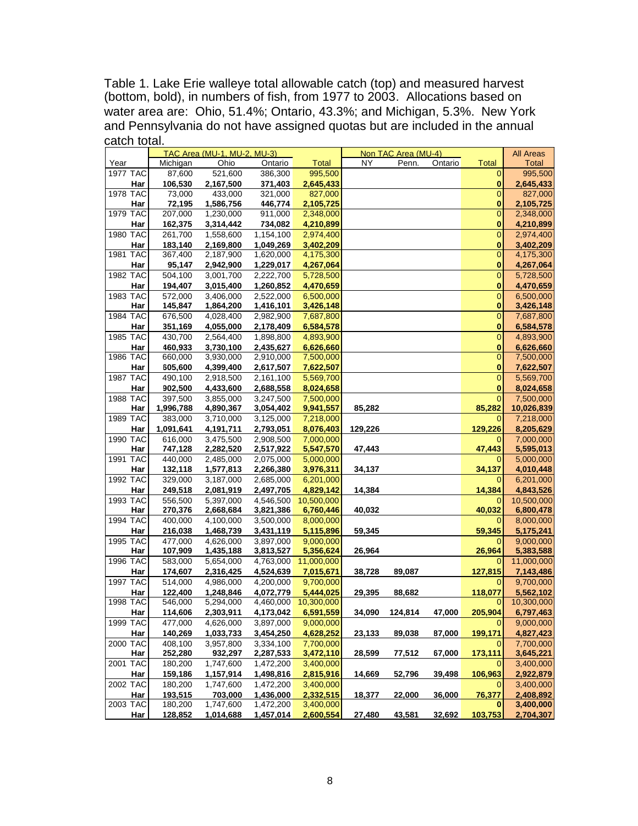Table 1. Lake Erie walleye total allowable catch (top) and measured harvest (bottom, bold), in numbers of fish, from 1977 to 2003. Allocations based on water area are: Ohio, 51.4%; Ontario, 43.3%; and Michigan, 5.3%. New York and Pennsylvania do not have assigned quotas but are included in the annual catch total.

|                 |                      | TAC Area (MU-1, MU-2, MU-3) |           |                        |         | Non TAC Area (MU-4) |         |                | <b>All Areas</b> |
|-----------------|----------------------|-----------------------------|-----------|------------------------|---------|---------------------|---------|----------------|------------------|
| Year            | Michigan             | Ohio                        | Ontario   | <b>Total</b>           | NY      | Penn.               | Ontario | <b>Total</b>   | <b>Total</b>     |
| <b>1977 TAC</b> | 87,600               | 521,600                     | 386,300   | 995,500                |         |                     |         | 0              | 995,500          |
| Har             | 106,530              | 2,167,500                   | 371,403   | 2,645,433              |         |                     |         | 0              | 2,645,433        |
| 1978 TAC        | 73,000               | 433,000                     | 321,000   | 827,000                |         |                     |         | 0              | 827,000          |
| Har             | 72,195               | 1,586,756                   | 446,774   | 2,105,725              |         |                     |         | 0              | 2,105,725        |
| 1979 TAC        | 207,000              | 1,230,000                   | 911,000   | 2,348,000              |         |                     |         | $\mathbf 0$    | 2,348,000        |
| Har             | 162,375              | 3,314,442                   | 734,082   | 4,210,899              |         |                     |         | 0              | 4,210,899        |
| 1980 TAC        | 261,700              | 1,558,600                   | 1,154,100 | 2,974,400              |         |                     |         | $\overline{0}$ | 2,974,400        |
| Har             | 183,140              | 2,169,800                   | 1,049,269 | 3,402,209              |         |                     |         | 0              | 3,402,209        |
| 1981 TAC        | 367,400              | 2,187,900                   | 1,620,000 | 4,175,300              |         |                     |         | 0              | 4,175,300        |
| Har             | 95,147               | 2,942,900                   | 1,229,017 | 4,267,064              |         |                     |         | 0              | 4,267,064        |
| 1982 TAC        | 504,100              | 3,001,700                   | 2,222,700 | 5,728,500              |         |                     |         | $\mathbf 0$    | 5,728,500        |
| Har             | 194,407              | 3,015,400                   | 1,260,852 | 4,470,659              |         |                     |         | 0              | 4,470,659        |
| <b>1983 TAC</b> | 572,000              | 3,406,000                   | 2,522,000 | 6,500,000              |         |                     |         | 0              | 6,500,000        |
| Har             | 145,847              | 1,864,200                   | 1,416,101 | 3,426,148              |         |                     |         | 0              | 3,426,148        |
| 1984 TAC        | 676,500              | 4,028,400                   | 2,982,900 | 7,687,800              |         |                     |         | $\mathbf 0$    | 7,687,800        |
| Har             | 351,169              | 4,055,000                   | 2,178,409 | 6,584,578              |         |                     |         | 0              | 6,584,578        |
| 1985 TAC        | 430,700              | 2,564,400                   | 1,898,800 | 4,893,900              |         |                     |         | 0              | 4,893,900        |
| Har             | 460,933              | 3,730,100                   | 2,435,627 | 6,626,660              |         |                     |         | $\bf{0}$       | 6,626,660        |
| 1986 TAC        | 660,000              | 3,930,000                   | 2,910,000 | 7,500,000              |         |                     |         | 0              | 7,500,000        |
| Har             | 605,600              | 4,399,400                   | 2,617,507 |                        |         |                     |         | 0              | 7,622,507        |
| <b>1987 TAC</b> | 490,100              |                             |           | 7,622,507<br>5,569,700 |         |                     |         | 0              |                  |
|                 |                      | 2,918,500<br>4,433,600      | 2,161,100 |                        |         |                     |         |                | 5,569,700        |
| Har             | 902,500              |                             | 2,688,558 | 8,024,658              |         |                     |         | 0              | 8,024,658        |
| 1988 TAC        | 397,500              | 3,855,000                   | 3,247,500 | 7,500,000              |         |                     |         | 0<br>85,282    | 7,500,000        |
| Har<br>1989 TAC | 1,996,788<br>383,000 | 4,890,367                   | 3,054,402 | 9,941,557              | 85,282  |                     |         | 0              | 10,026,839       |
|                 |                      | 3,710,000                   | 3,125,000 | 7,218,000              |         |                     |         |                | 7,218,000        |
| Har             | 1,091,641            | 4,191,711                   | 2,793,051 | 8,076,403              | 129,226 |                     |         | 129,226        | 8,205,629        |
| <b>1990 TAC</b> | 616,000              | 3,475,500                   | 2,908,500 | 7,000,000              |         |                     |         | 0              | 7,000,000        |
| Har<br>1991 TAC | 747,128              | 2,282,520                   | 2,517,922 | 5,547,570              | 47,443  |                     |         | 47,443         | 5,595,013        |
|                 | 440,000              | 2,485,000                   | 2,075,000 | 5,000,000              |         |                     |         | 0              | 5,000,000        |
| Har             | 132,118              | 1,577,813                   | 2,266,380 | 3,976,311              | 34,137  |                     |         | 34,137         | 4,010,448        |
| 1992 TAC        | 329,000              | 3,187,000                   | 2,685,000 | 6,201,000              |         |                     |         | 0              | 6,201,000        |
| Har             | 249,518              | 2,081,919                   | 2,497,705 | 4,829,142              | 14,384  |                     |         | 14,384         | 4,843,526        |
| 1993 TAC        | 556,500              | 5,397,000                   | 4,546,500 | 10,500,000             |         |                     |         | 0              | 10,500,000       |
| Har             | 270,376              | 2,668,684                   | 3,821,386 | 6,760,446              | 40,032  |                     |         | 40,032         | 6,800,478        |
| 1994 TAC        | 400,000              | 4,100,000                   | 3,500,000 | 8,000,000              |         |                     |         | 0              | 8,000,000        |
| Har             | 216,038              | 1,468,739                   | 3,431,119 | 5,115,896              | 59,345  |                     |         | 59,345         | 5,175,241        |
| 1995 TAC        | 477,000              | 4,626,000                   | 3,897,000 | 9,000,000              |         |                     |         | 0              | 9,000,000        |
| Har             | 107,909              | 1,435,188                   | 3,813,527 | 5,356,624              | 26,964  |                     |         | 26,964         | 5,383,588        |
| 1996 TAC        | 583,000              | 5,654,000                   | 4,763,000 | 11,000,000             |         |                     |         | 0              | 11,000,000       |
| Har             | 174,607              | 2,316,425                   | 4,524,639 | 7,015,671              | 38,728  | 89,087              |         | 127,815        | 7,143,486        |
| 1997 TAC        | 514,000              | 4,986,000                   | 4,200,000 | 9,700,000              |         |                     |         | 0              | 9,700,000        |
| Har             | 122,400              | 1,248,846                   | 4,072,779 | 5,444,025              | 29,395  | 88,682              |         | 118,077        | 5,562,102        |
| 1998 TAC        | 546,000              | 5,294,000                   | 4,460,000 | 10,300,000             |         |                     |         | 0              | 10,300,000       |
| Har             | 114,606              | 2,303,911                   | 4,173,042 | 6,591,559              | 34,090  | 124,814             | 47,000  | 205,904        | 6,797,463        |
| 1999 TAC        | 477,000              | 4,626,000                   | 3,897,000 | 9,000,000              |         |                     |         | $\mathbf{0}$   | 9,000,000        |
| Har             | 140,269              | 1,033,733                   | 3,454,250 | 4,628,252              | 23,133  | 89,038              | 87,000  | 199,171        | 4,827,423        |
| 2000 TAC        | 408,100              | 3,957,800                   | 3,334,100 | 7,700,000              |         |                     |         |                | 7,700,000        |
| Har             | 252,280              | 932,297                     | 2,287,533 | 3,472,110              | 28,599  | 77,512              | 67,000  | 173,111        | 3,645,221        |
| 2001 TAC        | 180,200              | 1,747,600                   | 1,472,200 | 3,400,000              |         |                     |         | 0              | 3,400,000        |
| Har             | 159,186              | 1,157,914                   | 1,498,816 | 2,815,916              | 14,669  | 52,796              | 39,498  | 106,963        | 2,922,879        |
| 2002 TAC        | 180,200              | 1,747,600                   | 1,472,200 | 3,400,000              |         |                     |         | 0              | 3,400,000        |
| Har             | 193,515              | 703,000                     | 1,436,000 | 2,332,515              | 18,377  | 22,000              | 36,000  | 76,377         | 2,408,892        |
| $2003$ TAC      | 180,200              | 1,747,600                   | 1,472,200 | 3,400,000              |         |                     |         |                | 3,400,000        |
| Har             | 128,852              | 1,014,688                   | 1,457,014 | 2,600,554              | 27,480  | 43,581              | 32,692  | 103,753        | 2,704,307        |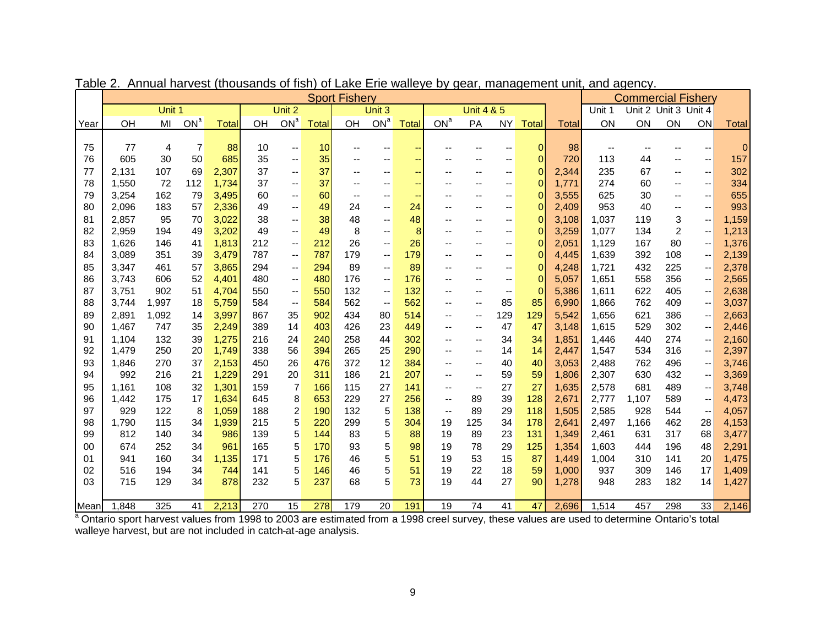|      | <b>Sport Fishery</b> |        |                 |              |     |                          |              |                          |                          |                          |                          |                          | <b>Commercial Fishery</b> |                |              |                          |                      |                          |                          |                |
|------|----------------------|--------|-----------------|--------------|-----|--------------------------|--------------|--------------------------|--------------------------|--------------------------|--------------------------|--------------------------|---------------------------|----------------|--------------|--------------------------|----------------------|--------------------------|--------------------------|----------------|
|      |                      | Unit 1 |                 |              |     | Unit 2                   |              |                          | Unit 3                   |                          |                          | <b>Unit 4 &amp; 5</b>    |                           |                |              | Unit 1                   | Unit 2 Unit 3 Unit 4 |                          |                          |                |
| Year | OH                   | MI     | ON <sup>a</sup> | <b>Total</b> | OH  | ON <sup>a</sup>          | <b>Total</b> | OH                       | ON <sup>a</sup>          | <b>Total</b>             | ON <sup>a</sup>          | PA                       | <b>NY</b>                 | <b>Total</b>   | <b>Total</b> | ON                       | ON                   | ON                       | ON                       | <b>Total</b>   |
|      |                      |        |                 |              |     |                          |              |                          |                          |                          |                          |                          |                           |                |              |                          |                      |                          |                          |                |
| 75   | 77                   | 4      | $\overline{7}$  | 88           | 10  | $\overline{\phantom{a}}$ | 10           |                          | --                       | --                       |                          |                          | --                        | $\overline{0}$ | 98           | $\overline{\phantom{a}}$ | --                   |                          |                          | $\overline{0}$ |
| 76   | 605                  | 30     | 50              | 685          | 35  | --                       | 35           |                          | --                       | --                       |                          |                          | --                        | $\Omega$       | 720          | 113                      | 44                   | $\overline{\phantom{a}}$ | --                       | 157            |
| 77   | 2,131                | 107    | 69              | 2,307        | 37  | --                       | 37           | $\overline{\phantom{a}}$ | --                       | $\overline{\phantom{m}}$ | --                       | $\overline{\phantom{a}}$ | --                        | $\Omega$       | 2,344        | 235                      | 67                   | $\overline{\phantom{a}}$ | -−                       | 302            |
| 78   | 1,550                | 72     | 112             | 1,734        | 37  | --                       | 37           | $\overline{\phantom{a}}$ | --                       | $\overline{\phantom{a}}$ |                          | $\overline{\phantom{a}}$ | --                        | $\Omega$       | 1,771        | 274                      | 60                   | $\overline{\phantom{a}}$ | --                       | 334            |
| 79   | 3,254                | 162    | 79              | 3,495        | 60  | --                       | 60           | $\overline{\phantom{a}}$ | --                       | $\overline{\phantom{m}}$ |                          |                          | --                        | $\Omega$       | 3,555        | 625                      | 30                   | $\overline{\phantom{a}}$ | -−                       | 655            |
| 80   | 2,096                | 183    | 57              | 2,336        | 49  | $\qquad \qquad -$        | 49           | 24                       | --                       | 24                       |                          |                          | --                        | 0              | 2,409        | 953                      | 40                   | $\overline{\phantom{a}}$ | ÷-                       | 993            |
| 81   | 2,857                | 95     | 70              | 3,022        | 38  | $\qquad \qquad -$        | 38           | 48                       | --                       | 48                       |                          | $-$                      | --                        | $\overline{0}$ | 3,108        | 1,037                    | 119                  | 3                        | -−                       | 1,159          |
| 82   | 2,959                | 194    | 49              | 3,202        | 49  | $\qquad \qquad -$        | 49           | 8                        | --                       | 8                        |                          | $\overline{\phantom{a}}$ | --                        | $\overline{0}$ | 3,259        | 1,077                    | 134                  | 2                        | $\qquad \qquad -$        | 1,213          |
| 83   | 1,626                | 146    | 41              | 1,813        | 212 | $\overline{\phantom{a}}$ | 212          | 26                       | $\overline{a}$           | 26                       | --                       |                          | --                        | $\Omega$       | 2,051        | 1,129                    | 167                  | 80                       | --                       | 1,376          |
| 84   | 3,089                | 351    | 39              | 3,479        | 787 | $\overline{\phantom{a}}$ | 787          | 179                      | --                       | 179                      |                          |                          | --                        | $\Omega$       | 4,445        | 1,639                    | 392                  | 108                      | $\qquad \qquad -$        | 2,139          |
| 85   | 3,347                | 461    | 57              | 3,865        | 294 | $\overline{\phantom{a}}$ | 294          | 89                       | $\overline{\phantom{a}}$ | 89                       | --                       |                          | --                        | 0              | 4,248        | 1,721                    | 432                  | 225                      | -−                       | 2,378          |
| 86   | 3,743                | 606    | 52              | 4,401        | 480 | $\overline{\phantom{a}}$ | 480          | 176                      | $\overline{\phantom{a}}$ | 176                      |                          |                          | --                        | $\Omega$       | 5,057        | 1,651                    | 558                  | 356                      | --                       | 2,565          |
| 87   | 3,751                | 902    | 51              | 4,704        | 550 | $\overline{\phantom{a}}$ | 550          | 132                      | --                       | 132                      | --                       |                          | $\overline{\phantom{a}}$  | $\Omega$       | 5,386        | 1,611                    | 622                  | 405                      | $\qquad \qquad -$        | 2,638          |
| 88   | 3,744                | 1,997  | 18              | 5,759        | 584 | $\overline{\phantom{a}}$ | 584          | 562                      | $\overline{\phantom{a}}$ | 562                      | -−                       | $\overline{\phantom{a}}$ | 85                        | 85             | 6,990        | 1,866                    | 762                  | 409                      | $\qquad \qquad -$        | 3,037          |
| 89   | 2,891                | 1,092  | 14              | 3,997        | 867 | 35                       | 902          | 434                      | 80                       | 514                      | --                       | $\overline{\phantom{a}}$ | 129                       | 129            | 5,542        | 1,656                    | 621                  | 386                      | -−                       | 2,663          |
| 90   | 1,467                | 747    | 35              | 2,249        | 389 | 14                       | 403          | 426                      | 23                       | 449                      | --                       | $\overline{\phantom{a}}$ | 47                        | 47             | 3,148        | 1,615                    | 529                  | 302                      | --                       | 2,446          |
| 91   | 1,104                | 132    | 39              | 1,275        | 216 | 24                       | 240          | 258                      | 44                       | 302                      | --                       | $\overline{\phantom{a}}$ | 34                        | 34             | 1,851        | 1,446                    | 440                  | 274                      | $\qquad \qquad -$        | 2,160          |
| 92   | 1,479                | 250    | 20              | 1,749        | 338 | 56                       | 394          | 265                      | 25                       | 290                      | --                       | $\overline{\phantom{a}}$ | 14                        | 14             | 2,447        | 1,547                    | 534                  | 316                      | --                       | 2,397          |
| 93   | 1,846                | 270    | 37              | 2,153        | 450 | 26                       | 476          | 372                      | 12                       | 384                      | --                       | $\overline{\phantom{a}}$ | 40                        | 40             | 3,053        | 2,488                    | 762                  | 496                      | -−                       | 3,746          |
| 94   | 992                  | 216    | 21              | 1,229        | 291 | 20                       | 311          | 186                      | 21                       | 207                      | --                       | $\overline{\phantom{a}}$ | 59                        | 59             | 1,806        | 2,307                    | 630                  | 432                      | --                       | 3,369          |
| 95   | 1,161                | 108    | 32              | 1,301        | 159 | $\overline{7}$           | 166          | 115                      | 27                       | 141                      | $- -$                    | $\overline{\phantom{a}}$ | 27                        | 27             | 1,635        | 2,578                    | 681                  | 489                      | $\qquad \qquad -$        | 3,748          |
| 96   | 1,442                | 175    | 17              | 1,634        | 645 | 8                        | 653          | 229                      | 27                       | 256                      | $- -$                    | 89                       | 39                        | 128            | 2,671        | 2,777                    | 1,107                | 589                      | $\qquad \qquad -$        | 4,473          |
| 97   | 929                  | 122    | 8               | 1,059        | 188 | 2                        | 190          | 132                      | 5                        | 138                      | $\overline{\phantom{a}}$ | 89                       | 29                        | 118            | 1,505        | 2,585                    | 928                  | 544                      | $\overline{\phantom{a}}$ | 4,057          |
| 98   | 1,790                | 115    | 34              | 1,939        | 215 | 5                        | 220          | 299                      | 5                        | 304                      | 19                       | 125                      | 34                        | 178            | 2,641        | 2,497                    | 1,166                | 462                      | 28                       | 4,153          |
| 99   | 812                  | 140    | 34              | 986          | 139 | 5                        | 144          | 83                       | 5                        | 88                       | 19                       | 89                       | 23                        | 131            | 1,349        | 2,461                    | 631                  | 317                      | 68                       | 3,477          |
| 00   | 674                  | 252    | 34              | 961          | 165 | 5                        | 170          | 93                       | 5                        | 98                       | 19                       | 78                       | 29                        | 125            | 1,354        | 1,603                    | 444                  | 196                      | 48                       | 2,291          |
| 01   | 941                  | 160    | 34              | 1,135        | 171 | 5                        | 176          | 46                       | 5                        | 51                       | 19                       | 53                       | 15                        | 87             | 1,449        | 1,004                    | 310                  | 141                      | 20                       | 1,475          |
| 02   | 516                  | 194    | 34              | 744          | 141 | 5                        | 146          | 46                       | 5                        | 51                       | 19                       | 22                       | 18                        | 59             | 1,000        | 937                      | 309                  | 146                      | 17                       | 1,409          |
| 03   | 715                  | 129    | 34              | 878          | 232 | 5                        | 237          | 68                       | 5                        | 73                       | 19                       | 44                       | 27                        | 90             | 1,278        | 948                      | 283                  | 182                      | 14                       | 1,427          |
| Mean | 1,848                | 325    | 41              | 2,213        | 270 | 15                       | 278          | 179                      | 20                       | 191                      | 19                       | 74                       | 41                        | 47             | 2,696        | 1,514                    | 457                  | 298                      | 33                       | 2,146          |
|      |                      |        |                 |              |     |                          |              |                          |                          |                          |                          |                          |                           |                |              |                          |                      |                          |                          |                |

Table 2. Annual harvest (thousands of fish) of Lake Erie walleye by gear, management unit, and agency.

<sup>a</sup> Ontario sport harvest values from 1998 to 2003 are estimated from a 1998 creel survey, these values are used to determine Ontario's total walleye harvest, but are not included in catch-at-age analysis.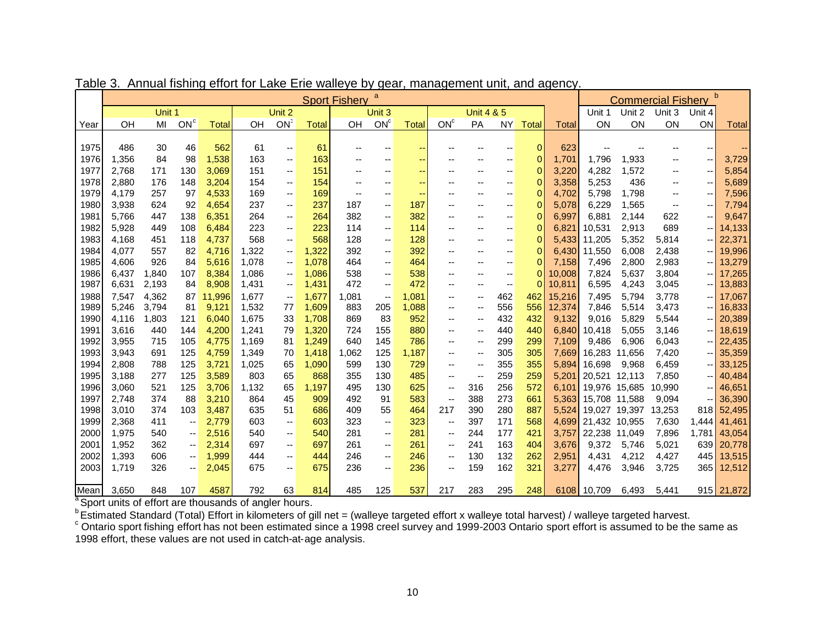|      | a<br><b>Sport Fishery</b> |        |                          |              |                                                                   |                          |              |                                                                                                                                                          |                          |               |                          |                          |           | <b>Commercial Fishery</b> |              |                     |               |                          |                          |                |
|------|---------------------------|--------|--------------------------|--------------|-------------------------------------------------------------------|--------------------------|--------------|----------------------------------------------------------------------------------------------------------------------------------------------------------|--------------------------|---------------|--------------------------|--------------------------|-----------|---------------------------|--------------|---------------------|---------------|--------------------------|--------------------------|----------------|
|      |                           | Unit 1 |                          |              |                                                                   | Unit 2                   |              |                                                                                                                                                          | Unit 3                   |               |                          | <b>Unit 4 &amp; 5</b>    |           |                           |              | Unit 1              | Unit 2        | Unit 3                   | Unit 4                   |                |
| Year | OH                        | MI     | ON <sup>c</sup>          | <b>Total</b> | OH                                                                | ON <sup>c</sup>          | <b>Total</b> | OH                                                                                                                                                       | ON <sup>c</sup>          | <b>Total</b>  | ON <sup>c</sup>          | PA                       | <b>NY</b> | <b>Total</b>              | <b>Total</b> | ON                  | ON            | ON                       | ON                       | <b>Total</b>   |
|      |                           |        |                          |              |                                                                   |                          |              |                                                                                                                                                          |                          |               |                          |                          |           |                           |              |                     |               |                          |                          |                |
| 1975 | 486                       | 30     | 46                       | 562          | 61                                                                | $\overline{\phantom{a}}$ | 61           | --                                                                                                                                                       | --                       | --            |                          |                          | --        | $\overline{0}$            | 623          | --                  |               | --                       |                          | --             |
| 1976 | 1,356                     | 84     | 98                       | 1,538        | 163                                                               | $\overline{\phantom{a}}$ | 163          | --                                                                                                                                                       | $\overline{\phantom{a}}$ | ⊷             | --                       | $\overline{\phantom{a}}$ | --        | $\mathbf{0}$              | 1,701        | 1,796               | 1,933         | --                       | $\overline{\phantom{a}}$ | 3,729          |
| 1977 | 2,768                     | 171    | 130                      | 3,069        | 151                                                               | --                       | 151          | --                                                                                                                                                       | --                       | $\rightarrow$ | $\overline{\phantom{a}}$ | --                       | --        | 0                         | 3,220        | 4,282               | 1,572         | $\overline{\phantom{a}}$ | $\overline{\phantom{a}}$ | 5,854          |
| 1978 | 2,880                     | 176    | 148                      | 3,204        | 154                                                               | $\overline{\phantom{a}}$ | 154          | --                                                                                                                                                       | --                       | ÷             | $\overline{\phantom{a}}$ | $\overline{\phantom{a}}$ | --        | 0                         | 3,358        | 5,253               | 436           | $\overline{\phantom{a}}$ | $\overline{\phantom{m}}$ | 5,689          |
| 1979 | 4,179                     | 257    | 97                       | 4,533        | 169                                                               | --                       | 169          | $\overline{\phantom{a}}$                                                                                                                                 | --                       | $\rightarrow$ | $\overline{\phantom{a}}$ | $\overline{a}$           | --        | 0                         | 4,702        | 5,798               | 1,798         | $\overline{\phantom{a}}$ | $\overline{\phantom{a}}$ | 7,596          |
| 1980 | 3,938                     | 624    | 92                       | 4,654        | 237                                                               | --                       | 237          | 187                                                                                                                                                      | --                       | 187           | $\overline{\phantom{a}}$ | --                       | --        | $\mathbf{0}$              | 5,078        | 6,229               | 1,565         | $\overline{\phantom{a}}$ | $\overline{\phantom{m}}$ | 7,794          |
| 1981 | 5,766                     | 447    | 138                      | 6,351        | 264                                                               | --                       | 264          | 382                                                                                                                                                      | --                       | 382           | $\overline{\phantom{a}}$ | $-$                      | --        | 0                         | 6,997        | 6,881               | 2,144         | 622                      | $\overline{\phantom{a}}$ | 9,647          |
| 1982 | 5,928                     | 449    | 108                      | 6,484        | 223                                                               | $\overline{\phantom{a}}$ | 223          | 114                                                                                                                                                      | --                       | 114           | $\overline{\phantom{a}}$ | $\overline{a}$           | --        | $\mathbf{0}$              | 6,821        | 10,531              | 2,913         | 689                      | $\hspace{0.05cm} \dashv$ | 14,133         |
| 1983 | 4,168                     | 451    | 118                      | 4,737        | 568                                                               | --                       | 568          | 128                                                                                                                                                      | --                       | 128           | $\overline{\phantom{a}}$ |                          | --        | $\overline{0}$            | 5,433        | 11,205              | 5,352         | 5,814                    | -- II                    | 22,371         |
| 1984 | 4,077                     | 557    | 82                       | 4,716        | 1,322                                                             | --                       | 1,322        | 392                                                                                                                                                      | --                       | 392           | $\overline{\phantom{a}}$ | --                       | --        | $\overline{0}$            | 6,430        | 11,550              | 6,008         | 2,438                    | -- II                    | 19,996         |
| 1985 | 4,606                     | 926    | 84                       | 5,616        | 1,078                                                             | $\overline{\phantom{a}}$ | 1,078        | 464                                                                                                                                                      | --                       | 464           | $\overline{\phantom{a}}$ | $\overline{\phantom{a}}$ | --        | $\mathbf{0}$              | 7,158        | 7,496               | 2,800         | 2,983                    |                          | 13,279         |
| 1986 | 6,437                     | 1,840  | 107                      | 8,384        | 1,086                                                             | $\overline{\phantom{a}}$ | 1,086        | 538                                                                                                                                                      | --                       | 538           | $\overline{\phantom{a}}$ |                          | --        | $\mathbf{0}$              | 10,008       | 7,824               | 5,637         | 3,804                    |                          | $-17,265$      |
| 1987 | 6,631                     | 2,193  | 84                       | 8,908        | 1,431                                                             | $\overline{\phantom{a}}$ | 1,431        | 472                                                                                                                                                      | --                       | 472           | $\overline{\phantom{a}}$ | $\overline{\phantom{a}}$ | --        | 0                         | 10,811       | 6,595               | 4,243         | 3,045                    |                          | $-$ 13,883     |
| 1988 | 7,547                     | 4,362  | 87                       | 11,996       | 1,677                                                             | $\overline{\phantom{a}}$ | 1,677        | 1,081                                                                                                                                                    | --                       | 1,081         | $\overline{\phantom{a}}$ | $\overline{\phantom{a}}$ | 462       | 462                       | 15,216       | 7,495               | 5,794         | 3,778                    | -- II                    | 17,067         |
| 1989 | 5,246                     | 3,794  | 81                       | 9,121        | 1,532                                                             | 77                       | 1,609        | 883                                                                                                                                                      | 205                      | 1,088         | $\overline{\phantom{a}}$ | --                       | 556       | 556                       | 12,374       | 7,846               | 5,514         | 3,473                    |                          | $-$ 16,833     |
| 1990 | 4,116                     | 1,803  | 121                      | 6,040        | 1,675                                                             | 33                       | 1,708        | 869                                                                                                                                                      | 83                       | 952           | $\overline{\phantom{a}}$ | --                       | 432       | 432                       | 9,132        | 9,016               | 5,829         | 5,544                    |                          | $-$ 20,389     |
| 1991 | 3,616                     | 440    | 144                      | 4,200        | 1,241                                                             | 79                       | 1,320        | 724                                                                                                                                                      | 155                      | 880           | $\overline{\phantom{a}}$ | --                       | 440       | 440                       | 6,840        | 10,418              | 5,055         | 3,146                    |                          | $-$ 18,619     |
| 1992 | 3,955                     | 715    | 105                      | 4,775        | 1,169                                                             | 81                       | 1,249        | 640                                                                                                                                                      | 145                      | 786           | $\overline{\phantom{a}}$ | --                       | 299       | 299                       | 7,109        | 9,486               | 6,906         | 6,043                    |                          | $-$ 22,435     |
| 1993 | 3,943                     | 691    | 125                      | 4,759        | 1,349                                                             | 70                       | 1,418        | 1,062                                                                                                                                                    | 125                      | 1,187         | $\overline{\phantom{a}}$ | --                       | 305       | 305                       | 7,669        |                     | 16,283 11,656 | 7,420                    |                          | $-$ 35,359     |
| 1994 | 2,808                     | 788    | 125                      | 3,721        | 1,025                                                             | 65                       | 1,090        | 599                                                                                                                                                      | 130                      | 729           | $\overline{\phantom{a}}$ | --                       | 355       | 355                       | 5,894        | 16,698              | 9,968         | 6,459                    |                          | $-$ 33,125     |
| 1995 | 3,188                     | 277    | 125                      | 3,589        | 803                                                               | 65                       | 868          | 355                                                                                                                                                      | 130                      | 485           | $\overline{a}$           | $\overline{\phantom{a}}$ | 259       | 259                       | 5,201        | 20,521              | 12,113        | 7,850                    |                          | $- 40,484$     |
| 1996 | 3,060                     | 521    | 125                      | 3,706        | 1,132                                                             | 65                       | 1,197        | 495                                                                                                                                                      | 130                      | 625           | --                       | 316                      | 256       | 572                       |              | 6,101 19,976 15,685 |               | 10,990                   |                          | $-$ 46,651     |
| 1997 | 2,748                     | 374    | 88                       | 3,210        | 864                                                               | 45                       | 909          | 492                                                                                                                                                      | 91                       | 583           | $\overline{\phantom{a}}$ | 388                      | 273       | 661                       | 5,363        | 15,708 11,588       |               | 9,094                    |                          | $- 36,390$     |
| 1998 | 3,010                     | 374    | 103                      | 3,487        | 635                                                               | 51                       | 686          | 409                                                                                                                                                      | 55                       | 464           | 217                      | 390                      | 280       | 887                       | 5,524        | 19,027              | 19,397        | 13,253                   |                          | 818 52,495     |
| 1999 | 2,368                     | 411    | ۰.                       | 2,779        | 603                                                               | $\overline{\phantom{a}}$ | 603          | 323                                                                                                                                                      | --                       | 323           | --                       | 397                      | 171       | 568                       | 4,699        | 21,432 10,955       |               | 7,630                    |                          | $1,444$ 41,461 |
| 2000 | 1,975                     | 540    | $\overline{\phantom{a}}$ | 2,516        | 540                                                               | --                       | 540          | 281                                                                                                                                                      | --                       | 281           | --                       | 244                      | 177       | 421                       | 3,757        | 22,238 11,049       |               | 7,896                    | 1,781                    | 43,054         |
| 2001 | 1,952                     | 362    | $\overline{\phantom{a}}$ | 2,314        | 697                                                               | $\overline{\phantom{a}}$ | 697          | 261                                                                                                                                                      | --                       | 261           | --                       | 241                      | 163       | 404                       | 3,676        | 9,372               | 5,746         | 5,021                    | 639                      | 20,778         |
| 2002 | 1,393                     | 606    | $\overline{\phantom{a}}$ | 1,999        | 444                                                               | --                       | 444          | 246                                                                                                                                                      | --                       | 246           | --                       | 130                      | 132       | 262                       | 2,951        | 4,431               | 4,212         | 4,427                    | 445                      | 13,515         |
| 2003 | 1,719                     | 326    | --                       | 2,045        | 675                                                               | --                       | 675          | 236                                                                                                                                                      | --                       | 236           | $\overline{\phantom{a}}$ | 159                      | 162       | 321                       | 3,277        | 4,476               | 3,946         | 3,725                    | 365                      | 12,512         |
|      |                           |        |                          |              |                                                                   |                          |              |                                                                                                                                                          |                          |               |                          |                          |           |                           |              |                     |               |                          |                          |                |
| Mean | 3,650                     | 848    | 107                      | 4587         | 792                                                               | 63                       | 814          | 485                                                                                                                                                      | 125                      | 537           | 217                      | 283                      | 295       | 248                       |              | 6108 10,709         | 6,493         | 5,441                    |                          | 915 21,872     |
|      |                           |        |                          |              | <sup>a</sup> Sport units of effort are thousands of angler hours. |                          |              |                                                                                                                                                          |                          |               |                          |                          |           |                           |              |                     |               |                          |                          |                |
|      |                           |        |                          |              |                                                                   |                          |              | <sup>b</sup> Estimated Standard (Total) Effort in kilometers of gill net = (walleye targeted effort x walleye total harvest) / walleye targeted harvest. |                          |               |                          |                          |           |                           |              |                     |               |                          |                          |                |

|  | Table 3. Annual fishing effort for Lake Erie walleye by gear, management unit, and agency. |  |  |  |
|--|--------------------------------------------------------------------------------------------|--|--|--|
|--|--------------------------------------------------------------------------------------------|--|--|--|

 $^{\circ}$  Ontario sport fishing effort has not been estimated since a 1998 creel survey and 1999-2003 Ontario sport effort is assumed to be the same as 1998 effort, these values are not used in catch-at-age analysis.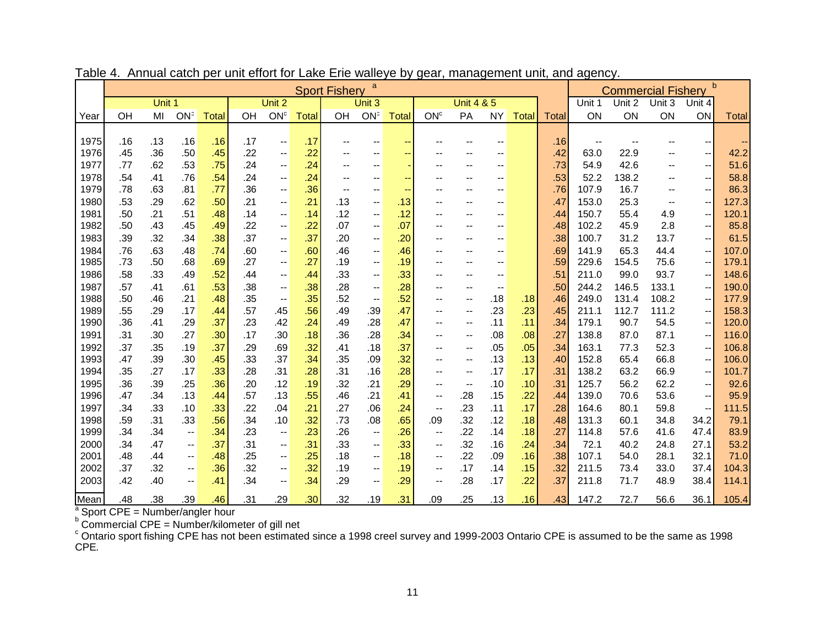|      | a<br><b>Sport Fishery</b>                         |        |                          |              |     |                          |              |     |                          |               |                                               | <b>Commercial Fishery</b> |                          | b            |              |                          |        |                          |                                               |              |
|------|---------------------------------------------------|--------|--------------------------|--------------|-----|--------------------------|--------------|-----|--------------------------|---------------|-----------------------------------------------|---------------------------|--------------------------|--------------|--------------|--------------------------|--------|--------------------------|-----------------------------------------------|--------------|
|      |                                                   | Unit 1 |                          |              |     | Unit 2                   |              |     | Unit 3                   |               |                                               | <b>Unit 4 &amp; 5</b>     |                          |              |              | Unit 1                   | Unit 2 | Unit 3                   | Unit 4                                        |              |
| Year | OH                                                | MI     | ON <sup>c</sup>          | <b>Total</b> | OH  | ON <sup>c</sup>          | <b>Total</b> | OH  | ON <sup>c</sup>          | <b>Total</b>  | ON <sup>c</sup>                               | PA                        | <b>NY</b>                | <b>Total</b> | <b>Total</b> | ON                       | ON     | ON                       | ON                                            | <b>Total</b> |
|      |                                                   |        |                          |              |     |                          |              |     |                          |               |                                               |                           |                          |              |              |                          |        |                          |                                               |              |
| 1975 | .16                                               | .13    | .16                      | .16          | .17 | $\overline{\phantom{a}}$ | .17          | --  | $-$                      | $\sim$ $\sim$ | --                                            | $- -$                     | $-$                      |              | .16          | $\overline{\phantom{a}}$ |        | $-$                      | $\overline{\phantom{m}}$                      | ۰.           |
| 1976 | .45                                               | .36    | .50                      | .45          | .22 | $\overline{\phantom{a}}$ | .22          | --  | $-$                      | $-$           | --                                            | $-$                       | --                       |              | .42          | 63.0                     | 22.9   | $\overline{\phantom{a}}$ | $\overline{\phantom{m}}$                      | 42.2         |
| 1977 | .77                                               | .62    | .53                      | .75          | .24 | $\overline{\phantom{a}}$ | .24          | --  | $\overline{\phantom{a}}$ |               | $-$                                           | $-$                       | --                       |              | .73          | 54.9                     | 42.6   | $-$                      | $\overline{\phantom{a}}$                      | 51.6         |
| 1978 | .54                                               | .41    | .76                      | .54          | .24 | $\overline{\phantom{a}}$ | .24          | $-$ | $-$                      | $-$           | $- -$                                         | $- -$                     | $-$                      |              | .53          | 52.2                     | 138.2  | $- -$                    | $\mathord{\hspace{1pt}\text{--}\hspace{1pt}}$ | 58.8         |
| 1979 | .78                                               | .63    | .81                      | .77          | .36 | $\overline{\phantom{a}}$ | .36          | $-$ | $\overline{\phantom{a}}$ | $\sim$        | $-$                                           |                           |                          |              | .76          | 107.9                    | 16.7   | --                       | $\overline{\phantom{a}}$                      | 86.3         |
| 1980 | .53                                               | .29    | .62                      | .50          | .21 | $\overline{\phantom{a}}$ | .21          | .13 | $\overline{\phantom{a}}$ | .13           | $\overline{\phantom{a}}$                      | $-$                       | --                       |              | .47          | 153.0                    | 25.3   | --                       | $\overline{\phantom{a}}$                      | 127.3        |
| 1981 | .50                                               | .21    | .51                      | .48          | .14 | $\overline{\phantom{a}}$ | .14          | .12 | $-$                      | .12           | $- -$                                         | $- -$                     | --                       |              | .44          | 150.7                    | 55.4   | 4.9                      | $-\,-$                                        | 120.1        |
| 1982 | .50                                               | .43    | .45                      | .49          | .22 | $\overline{\phantom{a}}$ | .22          | .07 | $\overline{\phantom{a}}$ | .07           | $-$                                           | $- -$                     | --                       |              | .48          | 102.2                    | 45.9   | 2.8                      | $\overline{\phantom{a}}$                      | 85.8         |
| 1983 | .39                                               | .32    | .34                      | .38          | .37 | $\overline{\phantom{a}}$ | .37          | .20 | $\overline{\phantom{a}}$ | .20           | $\overline{\phantom{a}}$                      | $-$                       | $-$                      |              | .38          | 100.7                    | 31.2   | 13.7                     | $\overline{\phantom{a}}$                      | 61.5         |
| 1984 | .76                                               | .63    | .48                      | .74          | .60 | $\overline{\phantom{a}}$ | .60          | .46 | $\overline{\phantom{a}}$ | .46           | $\overline{\phantom{a}}$                      | $-$                       | --                       |              | .69          | 141.9                    | 65.3   | 44.4                     | $\overline{\phantom{a}}$                      | 107.0        |
| 1985 | .73                                               | .50    | .68                      | .69          | .27 | $\overline{\phantom{a}}$ | .27          | .19 | $\overline{\phantom{a}}$ | .19           | $-$                                           | $- -$                     | $-$                      |              | .59          | 229.6                    | 154.5  | 75.6                     | $\hspace{0.05cm}$ – $\hspace{0.05cm}$         | 179.1        |
| 1986 | .58                                               | .33    | .49                      | .52          | .44 | $\overline{\phantom{a}}$ | .44          | .33 | $\qquad \qquad -$        | .33           | --                                            | $-$                       | --                       |              | .51          | 211.0                    | 99.0   | 93.7                     | $\overline{\phantom{a}}$                      | 148.6        |
| 1987 | .57                                               | .41    | .61                      | .53          | .38 | $\overline{\phantom{a}}$ | .38          | .28 | $\overline{\phantom{a}}$ | .28           | --                                            | $-$                       | $\overline{\phantom{a}}$ |              | .50          | 244.2                    | 146.5  | 133.1                    | $\overline{\phantom{a}}$                      | 190.0        |
| 1988 | .50                                               | .46    | .21                      | .48          | .35 | $\overline{\phantom{a}}$ | .35          | .52 | $\overline{\phantom{a}}$ | .52           | $\overline{\phantom{a}}$                      | $\overline{\phantom{a}}$  | .18                      | .18          | .46          | 249.0                    | 131.4  | 108.2                    | $-\,-$                                        | 177.9        |
| 1989 | .55                                               | .29    | .17                      | .44          | .57 | .45                      | .56          | .49 | .39                      | .47           | --                                            | $\overline{\phantom{a}}$  | .23                      | .23          | .45          | 211.1                    | 112.7  | 111.2                    | $\overline{\phantom{a}}$                      | 158.3        |
| 1990 | .36                                               | .41    | .29                      | .37          | .23 | .42                      | .24          | .49 | .28                      | .47           | $\overline{\phantom{a}}$                      | $-$                       | .11                      | .11          | .34          | 179.1                    | 90.7   | 54.5                     | $\hspace{0.05cm}$ – $\hspace{0.05cm}$         | 120.0        |
| 1991 | .31                                               | .30    | .27                      | .30          | .17 | .30                      | .18          | .36 | .28                      | .34           | $- -$                                         | $\overline{\phantom{a}}$  | .08                      | .08          | .27          | 138.8                    | 87.0   | 87.1                     | $\overline{\phantom{a}}$                      | 116.0        |
| 1992 | .37                                               | .35    | .19                      | .37          | .29 | .69                      | .32          | .41 | .18                      | .37           | $- -$                                         | $-$                       | .05                      | .05          | .34          | 163.1                    | 77.3   | 52.3                     | $\overline{\phantom{a}}$                      | 106.8        |
| 1993 | .47                                               | .39    | .30                      | .45          | .33 | .37                      | .34          | .35 | .09                      | .32           | --                                            | $-$                       | .13                      | .13          | .40          | 152.8                    | 65.4   | 66.8                     | $-\,-$                                        | 106.0        |
| 1994 | .35                                               | .27    | .17                      | .33          | .28 | .31                      | .28          | .31 | .16                      | .28           | --                                            | $\overline{\phantom{a}}$  | .17                      | .17          | .31          | 138.2                    | 63.2   | 66.9                     | $\overline{\phantom{a}}$                      | 101.7        |
| 1995 | .36                                               | .39    | .25                      | .36          | .20 | .12                      | .19          | .32 | .21                      | .29           | $\overline{\phantom{a}}$                      | $\overline{\phantom{a}}$  | .10                      | .10          | .31          | 125.7                    | 56.2   | 62.2                     | $\overline{\phantom{a}}$                      | 92.6         |
| 1996 | .47                                               | .34    | .13                      | .44          | .57 | .13                      | .55          | .46 | .21                      | .41           | ۰.                                            | .28                       | .15                      | .22          | .44          | 139.0                    | 70.6   | 53.6                     | $\overline{\phantom{a}}$                      | 95.9         |
| 1997 | .34                                               | .33    | .10                      | .33          | .22 | .04                      | .21          | .27 | .06                      | .24           | $\overline{\phantom{a}}$                      | .23                       | .11                      | .17          | .28          | 164.6                    | 80.1   | 59.8                     | $\overline{\phantom{a}}$                      | 111.5        |
| 1998 | .59                                               | .31    | .33                      | .56          | .34 | .10                      | .32          | .73 | .08                      | .65           | .09                                           | .32                       | .12                      | .18          | .48          | 131.3                    | 60.1   | 34.8                     | 34.2                                          | 79.1         |
| 1999 | .34                                               | .34    | $\overline{\phantom{a}}$ | .34          | .23 | $\overline{\phantom{a}}$ | .23          | .26 | $\overline{\phantom{a}}$ | .26           | --                                            | .22                       | .14                      | .18          | .27          | 114.8                    | 57.6   | 41.6                     | 47.4                                          | 83.9         |
| 2000 | .34                                               | .47    | $\overline{\phantom{a}}$ | .37          | .31 | $\overline{\phantom{a}}$ | .31          | .33 | $\overline{a}$           | .33           | $\mathord{\hspace{1pt}\text{--}\hspace{1pt}}$ | .32                       | .16                      | .24          | .34          | 72.1                     | 40.2   | 24.8                     | 27.1                                          | 53.2         |
| 2001 | .48                                               | .44    | $\overline{\phantom{a}}$ | .48          | .25 | $\overline{\phantom{a}}$ | .25          | .18 | $-$                      | .18           | $\overline{\phantom{a}}$                      | .22                       | .09                      | .16          | .38          | 107.1                    | 54.0   | 28.1                     | 32.1                                          | 71.0         |
| 2002 | .37                                               | .32    | $\overline{\phantom{a}}$ | .36          | .32 | $\overline{\phantom{a}}$ | .32          | .19 | $\overline{\phantom{a}}$ | .19           | $\mathord{\hspace{1pt}\text{--}\hspace{1pt}}$ | .17                       | .14                      | .15          | .32          | 211.5                    | 73.4   | 33.0                     | 37.4                                          | 104.3        |
| 2003 | .42                                               | .40    | $\overline{\phantom{a}}$ | .41          | .34 | $\overline{\phantom{a}}$ | .34          | .29 | $\overline{\phantom{a}}$ | .29           | ۰.                                            | .28                       | .17                      | .22          | .37          | 211.8                    | 71.7   | 48.9                     | 38.4                                          | 114.1        |
| Mean | .48                                               | .38    | 39                       | .46          | .31 | .29                      | .30          | 32  | .19                      | .31           | 09                                            | .25                       | .13                      | .16          | .43          | 147.2                    | 72.7   | 56.6                     | 36.1                                          | 105.4        |
|      | $\sqrt[a]{a}$ Sport CPE = Number/angler hour      |        |                          |              |     |                          |              |     |                          |               |                                               |                           |                          |              |              |                          |        |                          |                                               |              |
|      | $b$ Commercial CPE = Number/kilometer of gill net |        |                          |              |     |                          |              |     |                          |               |                                               |                           |                          |              |              |                          |        |                          |                                               |              |

Table 4. Annual catch per unit effort for Lake Erie walleye by gear, management unit, and agency.

 $\textdegree$  Ontario sport fishing CPE has not been estimated since a 1998 creel survey and 1999-2003 Ontario CPE is assumed to be the same as 1998 CPE.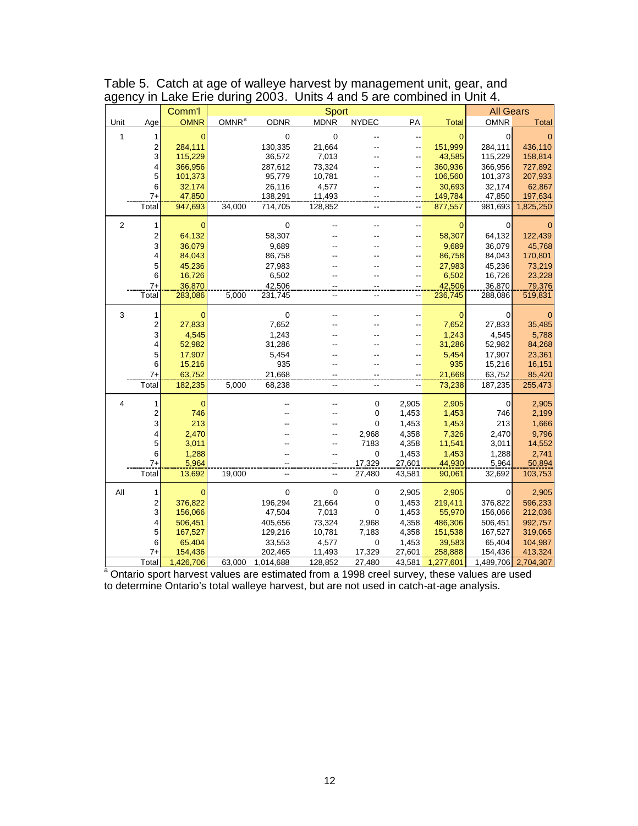|                |                | Comm'l         | Sport             |             |                          |                |                          |              |             | <b>All Gears</b> |  |  |
|----------------|----------------|----------------|-------------------|-------------|--------------------------|----------------|--------------------------|--------------|-------------|------------------|--|--|
| Unit           | Age            | <b>OMNR</b>    | OMNR <sup>a</sup> | <b>ODNR</b> | <b>MDNR</b>              | <b>NYDEC</b>   | PA                       | <b>Total</b> | <b>OMNR</b> | <b>Total</b>     |  |  |
| 1              | 1              | $\mathbf 0$    |                   | $\mathbf 0$ | 0                        |                | --                       | $\mathbf{0}$ | 0           | $\mathbf{0}$     |  |  |
|                | 2              | 284,111        |                   | 130,335     | 21,664                   |                | --                       | 151,999      | 284,111     | 436,110          |  |  |
|                | 3              | 115,229        |                   | 36,572      | 7,013                    |                | --                       | 43,585       | 115,229     | 158,814          |  |  |
|                | 4              | 366,956        |                   | 287,612     | 73,324                   |                | --                       | 360,936      | 366,956     | 727,892          |  |  |
|                | 5              | 101,373        |                   | 95,779      | 10,781                   |                | --                       | 106,560      | 101,373     | 207,933          |  |  |
|                | 6              | 32,174         |                   | 26,116      | 4,577                    |                | --                       | 30,693       | 32,174      | 62,867           |  |  |
|                | $7+$           | 47,850         |                   | 138,291     | 11,493                   |                | $-$                      | 149,784      | 47,850      | 197,634          |  |  |
|                | Total          | 947,693        | 34,000            | 714,705     | 128,852                  | -−             | $\overline{\phantom{a}}$ | 877,557      | 981,693     | 1,825,250        |  |  |
| $\overline{2}$ | 1              | 0              |                   | $\mathbf 0$ |                          |                | --                       | $\Omega$     | 0           | $\mathbf{0}$     |  |  |
|                | $\overline{2}$ | 64,132         |                   | 58,307      |                          |                | $\overline{a}$           | 58,307       | 64,132      | 122,439          |  |  |
|                | 3              | 36,079         |                   | 9,689       |                          |                | --                       | 9,689        | 36,079      | 45,768           |  |  |
|                | 4              | 84,043         |                   | 86,758      |                          |                | --                       | 86,758       | 84,043      | 170,801          |  |  |
|                | 5              | 45,236         |                   | 27,983      |                          |                | --                       | 27,983       | 45,236      | 73,219           |  |  |
|                | 6              | 16,726         |                   | 6,502       |                          |                | --                       | 6,502        | 16,726      | 23,228           |  |  |
|                | $7+$           | 36.870         |                   | 42.506      |                          |                |                          | 42.506       | 36.870      | 79,376           |  |  |
|                | Total          | 283,086        | 5,000             | 231,745     | --                       |                |                          | 236,745      | 288,086     | 519,831          |  |  |
| 3              | 1              | 0              |                   | $\mathbf 0$ |                          |                | -−                       | $\mathbf{0}$ | 0           | 0                |  |  |
|                | 2              | 27,833         |                   | 7,652       |                          |                | --                       | 7,652        | 27,833      | 35,485           |  |  |
|                | 3              | 4,545          |                   | 1,243       |                          |                | --                       | 1,243        | 4,545       | 5,788            |  |  |
|                | 4              | 52,982         |                   | 31,286      |                          |                | --                       | 31,286       | 52,982      | 84,268           |  |  |
|                | 5              | 17,907         |                   | 5,454       |                          |                | $-$                      | 5,454        | 17,907      | 23,361           |  |  |
|                | 6              | 15,216         |                   | 935         |                          |                | --                       | 935          | 15,216      | 16,151           |  |  |
|                | $7+$           | 63,752         |                   | 21,668      |                          |                |                          | 21,668       | 63,752      | 85,420           |  |  |
|                | Total          | 182,235        | 5,000             | 68,238      | $\overline{\phantom{a}}$ | Ξ.             | --                       | 73,238       | 187,235     | 255,473          |  |  |
| 4              | 1              | $\overline{0}$ |                   |             |                          | $\pmb{0}$      | 2,905                    | 2,905        | 0           | 2,905            |  |  |
|                | 2              | 746            |                   |             |                          | 0              | 1,453                    | 1,453        | 746         | 2,199            |  |  |
|                | 3              | 213            |                   |             |                          | $\overline{0}$ | 1,453                    | 1,453        | 213         | 1,666            |  |  |
|                | 4              | 2,470          |                   |             |                          | 2,968          | 4,358                    | 7,326        | 2,470       | 9,796            |  |  |
|                | 5              | 3,011          |                   |             |                          | 7183           | 4,358                    | 11,541       | 3,011       | 14,552           |  |  |
|                | 6              | 1,288          |                   |             | ۵.                       | 0              | 1,453                    | 1,453        | 1,288       | 2,741            |  |  |
|                | $7+$           | 5,964          |                   |             | $\ddot{ }$               | 17,329         | 27,601                   | 44,930       | 5,964       | 50,894           |  |  |
|                | Total          | 13,692         | 19,000            |             | --                       | 27,480         | 43,581                   | 90,061       | 32,692      | 103,753          |  |  |
| All            | 1              | $\mathbf 0$    |                   | $\mathbf 0$ | $\boldsymbol{0}$         | $\mathbf 0$    | 2,905                    | 2,905        | 0           | 2,905            |  |  |
|                | 2              | 376,822        |                   | 196,294     | 21,664                   | 0              | 1,453                    | 219,411      | 376,822     | 596,233          |  |  |
|                | 3              | 156,066        |                   | 47,504      | 7,013                    | $\overline{0}$ | 1,453                    | 55,970       | 156,066     | 212,036          |  |  |
|                | 4              | 506,451        |                   | 405,656     | 73,324                   | 2,968          | 4,358                    | 486,306      | 506,451     | 992,757          |  |  |
|                | 5              | 167,527        |                   | 129,216     | 10,781                   | 7,183          | 4,358                    | 151,538      | 167,527     | 319,065          |  |  |
|                | 6              | 65,404         |                   | 33,553      | 4,577                    | 0              | 1,453                    | 39,583       | 65,404      | 104,987          |  |  |
|                | 7+             | 154,436        |                   | 202,465     | 11,493                   | 17,329         | 27,601                   | 258,888      | 154,436     | 413,324          |  |  |
|                | Total          | 1,426,706      | 63,000            | 1,014,688   | 128,852                  | 27,480         | 43,581                   | 1,277,601    | 1,489,706   | 2,704,307        |  |  |

Table 5. Catch at age of walleye harvest by management unit, gear, and agency in Lake Erie during 2003. Units 4 and 5 are combined in Unit 4.

Total 1,426,706 63,000 1,014,688 128,852 27,480 43,581 1,277,601 1,489,706 2,704,307 <sup>a</sup> Ontario sport harvest values are estimated from a 1998 creel survey, these values are used to determine Ontario's total walleye harvest, but are not used in catch-at-age analysis.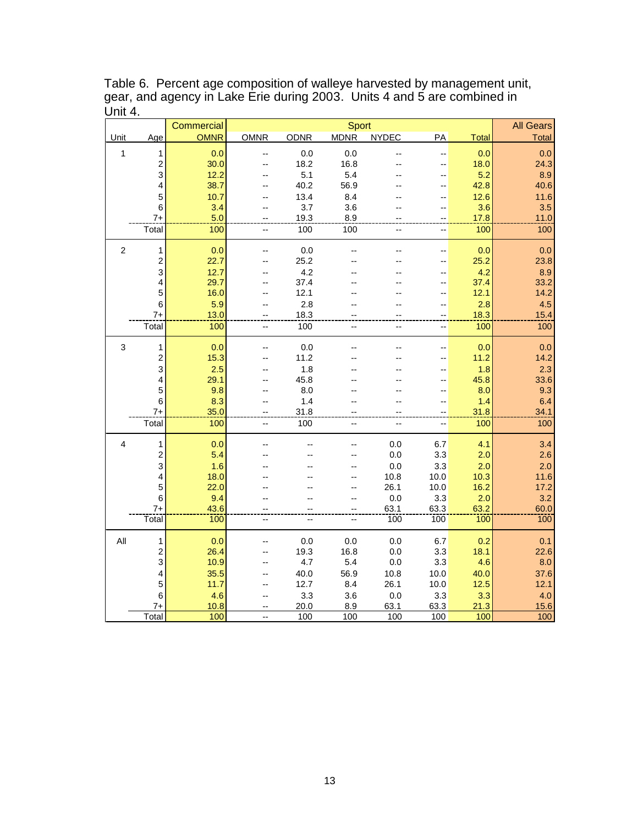Table 6. Percent age composition of walleye harvested by management unit, gear, and agency in Lake Erie during 2003. Units 4 and 5 are combined in Unit  $4.$ 

|                  |                                                                                                                                                                  | Commercial                                                                                                                                                        |                                |                                                                                                                           | <b>All Gears</b>                                            |                                                                                              |                                                                                                           |                                                                                                                                                                          |                         |
|------------------|------------------------------------------------------------------------------------------------------------------------------------------------------------------|-------------------------------------------------------------------------------------------------------------------------------------------------------------------|--------------------------------|---------------------------------------------------------------------------------------------------------------------------|-------------------------------------------------------------|----------------------------------------------------------------------------------------------|-----------------------------------------------------------------------------------------------------------|--------------------------------------------------------------------------------------------------------------------------------------------------------------------------|-------------------------|
| Unit             | Age                                                                                                                                                              | <b>OMNR</b>                                                                                                                                                       | <b>OMNR</b>                    | <b>ODNR</b>                                                                                                               | Sport<br><b>MDNR</b>                                        | <b>NYDEC</b>                                                                                 | PA                                                                                                        | <b>Total</b>                                                                                                                                                             | <b>Total</b>            |
| 1                | 1                                                                                                                                                                | 0.0                                                                                                                                                               |                                | $0.0\,$                                                                                                                   | 0.0                                                         |                                                                                              | --                                                                                                        | 0.0                                                                                                                                                                      | 0.0                     |
|                  | $\overline{\mathbf{c}}$                                                                                                                                          | 30.0                                                                                                                                                              |                                | 18.2                                                                                                                      | 16.8                                                        |                                                                                              | --                                                                                                        | 18.0                                                                                                                                                                     | 24.3                    |
|                  | 3                                                                                                                                                                | 12.2                                                                                                                                                              |                                | 5.1                                                                                                                       | 5.4                                                         |                                                                                              | --                                                                                                        | 5.2                                                                                                                                                                      | 8.9                     |
|                  | 4                                                                                                                                                                | 38.7                                                                                                                                                              |                                | 40.2                                                                                                                      | 56.9                                                        |                                                                                              | --                                                                                                        | 42.8                                                                                                                                                                     | 40.6                    |
|                  | 5                                                                                                                                                                | 10.7                                                                                                                                                              |                                | 13.4                                                                                                                      | 8.4                                                         |                                                                                              | --                                                                                                        | 12.6                                                                                                                                                                     | 11.6                    |
|                  | 6<br>$7+$                                                                                                                                                        | 3.4<br>5.0                                                                                                                                                        |                                | 3.7<br>19.3                                                                                                               | 3.6<br>8.9                                                  |                                                                                              |                                                                                                           | 3.6<br>17.8                                                                                                                                                              | 3.5                     |
|                  | Total                                                                                                                                                            | 100                                                                                                                                                               | --                             | 100                                                                                                                       | 100                                                         |                                                                                              | --                                                                                                        | 100                                                                                                                                                                      | 11.0<br>100             |
|                  |                                                                                                                                                                  |                                                                                                                                                                   |                                |                                                                                                                           |                                                             |                                                                                              |                                                                                                           |                                                                                                                                                                          |                         |
| $\boldsymbol{2}$ | 1                                                                                                                                                                | 0.0                                                                                                                                                               |                                | 0.0                                                                                                                       |                                                             |                                                                                              | --                                                                                                        | 0.0                                                                                                                                                                      | 0.0                     |
|                  | 2                                                                                                                                                                | 22.7                                                                                                                                                              |                                | 25.2                                                                                                                      |                                                             |                                                                                              | --                                                                                                        | 25.2                                                                                                                                                                     | 23.8                    |
|                  | 3                                                                                                                                                                | 12.7                                                                                                                                                              |                                | 4.2                                                                                                                       |                                                             |                                                                                              | --                                                                                                        | 4.2                                                                                                                                                                      | 8.9                     |
|                  | 4                                                                                                                                                                | 29.7                                                                                                                                                              |                                | 37.4                                                                                                                      |                                                             |                                                                                              | --                                                                                                        | 37.4                                                                                                                                                                     | 33.2                    |
|                  |                                                                                                                                                                  |                                                                                                                                                                   |                                |                                                                                                                           |                                                             |                                                                                              |                                                                                                           |                                                                                                                                                                          | 14.2                    |
|                  |                                                                                                                                                                  |                                                                                                                                                                   |                                |                                                                                                                           |                                                             |                                                                                              |                                                                                                           |                                                                                                                                                                          | 4.5                     |
|                  |                                                                                                                                                                  |                                                                                                                                                                   |                                |                                                                                                                           |                                                             |                                                                                              |                                                                                                           |                                                                                                                                                                          | 15.4<br>100             |
|                  |                                                                                                                                                                  |                                                                                                                                                                   |                                |                                                                                                                           |                                                             |                                                                                              |                                                                                                           |                                                                                                                                                                          |                         |
| 3                | 1                                                                                                                                                                | 0.0                                                                                                                                                               |                                | $0.0\,$                                                                                                                   |                                                             |                                                                                              | --                                                                                                        | 0.0                                                                                                                                                                      | 0.0                     |
|                  | $\overline{c}$                                                                                                                                                   | 15.3                                                                                                                                                              |                                | 11.2                                                                                                                      |                                                             |                                                                                              | --                                                                                                        | 11.2                                                                                                                                                                     | 14.2                    |
|                  |                                                                                                                                                                  |                                                                                                                                                                   |                                |                                                                                                                           |                                                             |                                                                                              |                                                                                                           |                                                                                                                                                                          | 2.3                     |
|                  |                                                                                                                                                                  |                                                                                                                                                                   |                                |                                                                                                                           |                                                             |                                                                                              | --                                                                                                        |                                                                                                                                                                          | 33.6                    |
|                  |                                                                                                                                                                  |                                                                                                                                                                   |                                |                                                                                                                           |                                                             |                                                                                              |                                                                                                           |                                                                                                                                                                          | 9.3                     |
|                  |                                                                                                                                                                  |                                                                                                                                                                   |                                |                                                                                                                           |                                                             |                                                                                              | --                                                                                                        |                                                                                                                                                                          | 6.4                     |
|                  |                                                                                                                                                                  |                                                                                                                                                                   |                                |                                                                                                                           |                                                             |                                                                                              |                                                                                                           |                                                                                                                                                                          | 100                     |
|                  |                                                                                                                                                                  |                                                                                                                                                                   |                                |                                                                                                                           |                                                             |                                                                                              |                                                                                                           |                                                                                                                                                                          |                         |
| 4                | 1                                                                                                                                                                | 0.0                                                                                                                                                               |                                |                                                                                                                           | --                                                          | 0.0                                                                                          | 6.7                                                                                                       | 4.1                                                                                                                                                                      | 3.4                     |
|                  | $\overline{\mathbf{c}}$                                                                                                                                          | 5.4                                                                                                                                                               |                                |                                                                                                                           |                                                             | 0.0                                                                                          | 3.3                                                                                                       | 2.0                                                                                                                                                                      | 2.6                     |
|                  |                                                                                                                                                                  |                                                                                                                                                                   |                                |                                                                                                                           |                                                             |                                                                                              |                                                                                                           |                                                                                                                                                                          | 2.0                     |
|                  |                                                                                                                                                                  |                                                                                                                                                                   |                                |                                                                                                                           |                                                             |                                                                                              |                                                                                                           |                                                                                                                                                                          | 11.6                    |
|                  |                                                                                                                                                                  |                                                                                                                                                                   |                                |                                                                                                                           | --                                                          |                                                                                              |                                                                                                           |                                                                                                                                                                          | 17.2                    |
|                  |                                                                                                                                                                  |                                                                                                                                                                   |                                |                                                                                                                           | --                                                          |                                                                                              |                                                                                                           |                                                                                                                                                                          | 3.2                     |
|                  |                                                                                                                                                                  |                                                                                                                                                                   |                                |                                                                                                                           |                                                             |                                                                                              |                                                                                                           |                                                                                                                                                                          | 60.0<br>$\frac{1}{100}$ |
|                  |                                                                                                                                                                  |                                                                                                                                                                   |                                |                                                                                                                           |                                                             |                                                                                              |                                                                                                           |                                                                                                                                                                          |                         |
| All              | 1                                                                                                                                                                | 0.0                                                                                                                                                               |                                | 0.0                                                                                                                       | 0.0                                                         | 0.0                                                                                          | 6.7                                                                                                       | 0.2                                                                                                                                                                      | 0.1                     |
|                  | $\overline{c}$                                                                                                                                                   | 26.4                                                                                                                                                              |                                | 19.3                                                                                                                      | 16.8                                                        | 0.0                                                                                          |                                                                                                           |                                                                                                                                                                          | 22.6                    |
|                  |                                                                                                                                                                  |                                                                                                                                                                   |                                |                                                                                                                           |                                                             |                                                                                              |                                                                                                           |                                                                                                                                                                          | 8.0                     |
|                  |                                                                                                                                                                  |                                                                                                                                                                   |                                |                                                                                                                           |                                                             |                                                                                              |                                                                                                           |                                                                                                                                                                          | 37.6                    |
|                  |                                                                                                                                                                  |                                                                                                                                                                   |                                |                                                                                                                           |                                                             |                                                                                              |                                                                                                           |                                                                                                                                                                          | 12.1                    |
|                  |                                                                                                                                                                  |                                                                                                                                                                   |                                |                                                                                                                           |                                                             |                                                                                              |                                                                                                           |                                                                                                                                                                          | 4.0<br>15.6             |
|                  |                                                                                                                                                                  |                                                                                                                                                                   | $-$                            |                                                                                                                           |                                                             |                                                                                              |                                                                                                           |                                                                                                                                                                          | 100                     |
|                  | 5<br>6<br>$7+$<br>Total<br>3<br>4<br>5<br>$\,6$<br>$7+$<br>Total<br>3<br>$\overline{\mathbf{4}}$<br>5<br>6<br>$7+$<br>Total<br>3<br>4<br>5<br>6<br>$7+$<br>Total | 16.0<br>5.9<br>13.0<br>100<br>2.5<br>29.1<br>9.8<br>8.3<br>35.0<br>100<br>1.6<br>18.0<br>22.0<br>9.4<br>43.6<br>100<br>10.9<br>35.5<br>11.7<br>4.6<br>10.8<br>100 | --<br>$\overline{\phantom{a}}$ | 12.1<br>2.8<br>18.3<br>100<br>1.8<br>45.8<br>8.0<br>1.4<br>31.8<br>100<br>--<br>4.7<br>40.0<br>12.7<br>3.3<br>20.0<br>100 | $-$<br>$-$<br>--<br>5.4<br>56.9<br>8.4<br>3.6<br>8.9<br>100 | --<br>0.0<br>10.8<br>26.1<br>0.0<br>63.1<br>100<br>0.0<br>10.8<br>26.1<br>0.0<br>63.1<br>100 | --<br>--<br>3.3<br>10.0<br>10.0<br>3.3<br>63.3<br>100<br>3.3<br>3.3<br>10.0<br>10.0<br>3.3<br>63.3<br>100 | 12.1<br>2.8<br>18.3<br>100<br>1.8<br>45.8<br>8.0<br>1.4<br>31.8<br>100<br>2.0<br>10.3<br>16.2<br>2.0<br>63.2<br>100<br>18.1<br>4.6<br>40.0<br>12.5<br>3.3<br>21.3<br>100 | 34.1                    |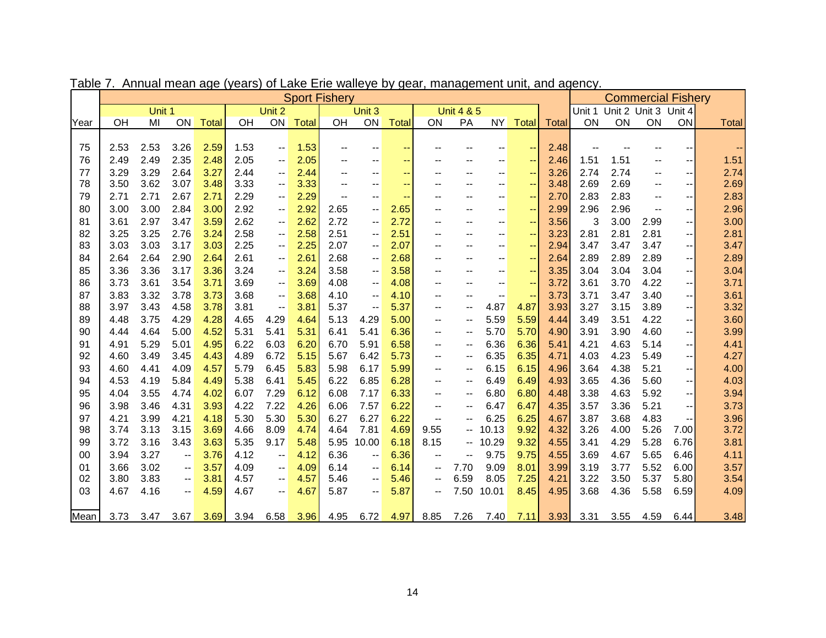|      | <b>Sport Fishery</b> |        |                                       |       |      |                                               |       |                                       |                          |                          |                                       |                          |                          | <b>Commercial Fishery</b> |              |      |                             |                          |                          |              |
|------|----------------------|--------|---------------------------------------|-------|------|-----------------------------------------------|-------|---------------------------------------|--------------------------|--------------------------|---------------------------------------|--------------------------|--------------------------|---------------------------|--------------|------|-----------------------------|--------------------------|--------------------------|--------------|
|      |                      | Unit 1 |                                       |       |      | Unit 2                                        |       |                                       | Unit 3                   |                          |                                       | <b>Unit 4 &amp; 5</b>    |                          |                           |              |      | Unit 1 Unit 2 Unit 3 Unit 4 |                          |                          |              |
| Year | OH                   | MI     | ON                                    | Total | OH   | ON                                            | Total | OH                                    | ON                       | Total                    | <b>ON</b>                             | PA                       |                          | NY Total                  | <b>Total</b> | ON   | ON                          | ON                       | <b>ON</b>                | <b>Total</b> |
|      |                      |        |                                       |       |      |                                               |       |                                       |                          |                          |                                       |                          |                          |                           |              |      |                             |                          |                          |              |
| 75   | 2.53                 | 2.53   | 3.26                                  | 2.59  | 1.53 | $\overline{\phantom{a}}$                      | 1.53  | $\overline{\phantom{a}}$              |                          | $\sim$ $\sim$            |                                       |                          |                          | --                        | 2.48         |      |                             |                          | $\overline{\phantom{m}}$ |              |
| 76   | 2.49                 | 2.49   | 2.35                                  | 2.48  | 2.05 | $\overline{\phantom{a}}$                      | 2.05  | $-$                                   | $-$                      | $\overline{\phantom{a}}$ |                                       | --                       | $-$                      | --                        | 2.46         | 1.51 | 1.51                        | $-$                      | $\overline{\phantom{a}}$ | 1.51         |
| 77   | 3.29                 | 3.29   | 2.64                                  | 3.27  | 2.44 | $-$                                           | 2.44  | $\overline{\phantom{a}}$              | $-$                      | $\sim$ $\sim$            | $-$                                   | $-$                      | $-$                      | $\overline{\phantom{a}}$  | 3.26         | 2.74 | 2.74                        | $-$                      | $\overline{\phantom{m}}$ | 2.74         |
| 78   | 3.50                 | 3.62   | 3.07                                  | 3.48  | 3.33 | $-$                                           | 3.33  | $-$                                   | $-$                      | $\sim$ $\sim$            |                                       |                          | $-$                      | $\sim$                    | 3.48         | 2.69 | 2.69                        | $-$                      | $\overline{\phantom{m}}$ | 2.69         |
| 79   | 2.71                 | 2.71   | 2.67                                  | 2.71  | 2.29 | $\overline{\phantom{a}}$                      | 2.29  | $\hspace{0.05cm}$ – $\hspace{0.05cm}$ |                          | $\overline{\phantom{a}}$ |                                       | $-1$                     | $\overline{\phantom{a}}$ | $\overline{\phantom{a}}$  | 2.70         | 2.83 | 2.83                        |                          | $\overline{\phantom{m}}$ | 2.83         |
| 80   | 3.00                 | 3.00   | 2.84                                  | 3.00  | 2.92 | $\overline{\phantom{a}}$                      | 2.92  | 2.65                                  | $\overline{\phantom{a}}$ | 2.65                     | $\overline{\phantom{a}}$              | $\overline{\phantom{a}}$ | $\overline{\phantom{m}}$ | --                        | 2.99         | 2.96 | 2.96                        | $\overline{\phantom{m}}$ | $\overline{\phantom{m}}$ | 2.96         |
| 81   | 3.61                 | 2.97   | 3.47                                  | 3.59  | 2.62 | $\mathord{\hspace{1pt}\text{--}\hspace{1pt}}$ | 2.62  | 2.72                                  | $\overline{\phantom{a}}$ | 2.72                     | $\overline{\phantom{a}}$              | $\overline{\phantom{a}}$ | $\overline{\phantom{a}}$ | $\rightarrow$             | 3.56         | 3    | 3.00                        | 2.99                     | $\overline{\phantom{m}}$ | 3.00         |
| 82   | 3.25                 | 3.25   | 2.76                                  | 3.24  | 2.58 | $\overline{\phantom{a}}$                      | 2.58  | 2.51                                  | $\overline{\phantom{a}}$ | 2.51                     |                                       | $- -$                    | $\overline{\phantom{m}}$ | $\rightarrow$             | 3.23         | 2.81 | 2.81                        | 2.81                     | $\overline{\phantom{m}}$ | 2.81         |
| 83   | 3.03                 | 3.03   | 3.17                                  | 3.03  | 2.25 | $\overline{\phantom{a}}$                      | 2.25  | 2.07                                  | $\overline{\phantom{a}}$ | 2.07                     |                                       | --                       | $\overline{\phantom{m}}$ | $\rightarrow$             | 2.94         | 3.47 | 3.47                        | 3.47                     | $\overline{\phantom{a}}$ | 3.47         |
| 84   | 2.64                 | 2.64   | 2.90                                  | 2.64  | 2.61 | $\mathord{\hspace{1pt}\text{--}\hspace{1pt}}$ | 2.61  | 2.68                                  | $\overline{\phantom{a}}$ | 2.68                     | $\overline{\phantom{a}}$              | $\overline{\phantom{m}}$ | $-$                      | $\rightarrow$             | 2.64         | 2.89 | 2.89                        | 2.89                     | $\overline{\phantom{a}}$ | 2.89         |
| 85   | 3.36                 | 3.36   | 3.17                                  | 3.36  | 3.24 | $-$                                           | 3.24  | 3.58                                  |                          | 3.58                     |                                       |                          |                          | $\sim$                    | 3.35         | 3.04 | 3.04                        | 3.04                     | $\overline{\phantom{a}}$ | 3.04         |
| 86   | 3.73                 | 3.61   | 3.54                                  | 3.71  | 3.69 | $\overline{\phantom{a}}$                      | 3.69  | 4.08                                  | $\overline{\phantom{m}}$ | 4.08                     |                                       | $-$                      | $-$                      | $\overline{\phantom{a}}$  | 3.72         | 3.61 | 3.70                        | 4.22                     | $\overline{\phantom{a}}$ | 3.71         |
| 87   | 3.83                 | 3.32   | 3.78                                  | 3.73  | 3.68 | $\overline{\phantom{a}}$                      | 3.68  | 4.10                                  | $\overline{\phantom{a}}$ | 4.10                     | $- -$                                 | $- -$                    | $\overline{\phantom{m}}$ | $\overline{\phantom{a}}$  | 3.73         | 3.71 | 3.47                        | 3.40                     | $\overline{\phantom{a}}$ | 3.61         |
| 88   | 3.97                 | 3.43   | 4.58                                  | 3.78  | 3.81 | $\qquad \qquad -$                             | 3.81  | 5.37                                  | $-$                      | 5.37                     | $-$                                   | $\overline{\phantom{a}}$ | 4.87                     | 4.87                      | 3.93         | 3.27 | 3.15                        | 3.89                     | $\overline{\phantom{a}}$ | 3.32         |
| 89   | 4.48                 | 3.75   | 4.29                                  | 4.28  | 4.65 | 4.29                                          | 4.64  | 5.13                                  | 4.29                     | 5.00                     |                                       | $\qquad \qquad -$        | 5.59                     | 5.59                      | 4.44         | 3.49 | 3.51                        | 4.22                     | $\overline{\phantom{a}}$ | 3.60         |
| 90   | 4.44                 | 4.64   | 5.00                                  | 4.52  | 5.31 | 5.41                                          | 5.31  | 6.41                                  | 5.41                     | 6.36                     | $\qquad \qquad \qquad \qquad$         | --                       | 5.70                     | 5.70                      | 4.90         | 3.91 | 3.90                        | 4.60                     | $\overline{\phantom{m}}$ | 3.99         |
| 91   | 4.91                 | 5.29   | 5.01                                  | 4.95  | 6.22 | 6.03                                          | 6.20  | 6.70                                  | 5.91                     | 6.58                     | $\qquad \qquad -$                     | $\overline{\phantom{a}}$ | 6.36                     | 6.36                      | 5.41         | 4.21 | 4.63                        | 5.14                     | $\overline{\phantom{a}}$ | 4.41         |
| 92   | 4.60                 | 3.49   | 3.45                                  | 4.43  | 4.89 | 6.72                                          | 5.15  | 5.67                                  | 6.42                     | 5.73                     | $\overline{\phantom{a}}$              | $\overline{\phantom{a}}$ | 6.35                     | 6.35                      | 4.71         | 4.03 | 4.23                        | 5.49                     | $\overline{\phantom{m}}$ | 4.27         |
| 93   | 4.60                 | 4.41   | 4.09                                  | 4.57  | 5.79 | 6.45                                          | 5.83  | 5.98                                  | 6.17                     | 5.99                     | $\overline{\phantom{a}}$              | --                       | 6.15                     | 6.15                      | 4.96         | 3.64 | 4.38                        | 5.21                     | $\overline{\phantom{a}}$ | 4.00         |
| 94   | 4.53                 | 4.19   | 5.84                                  | 4.49  | 5.38 | 6.41                                          | 5.45  | 6.22                                  | 6.85                     | 6.28                     | $\overline{\phantom{a}}$              | --                       | 6.49                     | 6.49                      | 4.93         | 3.65 | 4.36                        | 5.60                     | --                       | 4.03         |
| 95   | 4.04                 | 3.55   | 4.74                                  | 4.02  | 6.07 | 7.29                                          | 6.12  | 6.08                                  | 7.17                     | 6.33                     | $-$                                   | $\qquad \qquad -$        | 6.80                     | 6.80                      | 4.48         | 3.38 | 4.63                        | 5.92                     | $\overline{\phantom{a}}$ | 3.94         |
| 96   | 3.98                 | 3.46   | 4.31                                  | 3.93  | 4.22 | 7.22                                          | 4.26  | 6.06                                  | 7.57                     | 6.22                     | $\qquad \qquad \qquad \qquad$         | --                       | 6.47                     | 6.47                      | 4.35         | 3.57 | 3.36                        | 5.21                     | $\overline{\phantom{m}}$ | 3.73         |
| 97   | 4.21                 | 3.99   | 4.21                                  | 4.18  | 5.30 | 5.30                                          | 5.30  | 6.27                                  | 6.27                     | 6.22                     | $\qquad \qquad \qquad -$              | --                       | 6.25                     | 6.25                      | 4.67         | 3.87 | 3.68                        | 4.83                     | $\overline{\phantom{a}}$ | 3.96         |
| 98   | 3.74                 | 3.13   | 3.15                                  | 3.69  | 4.66 | 8.09                                          | 4.74  | 4.64                                  | 7.81                     | 4.69                     | 9.55                                  | $\overline{\phantom{a}}$ | 10.13                    | 9.92                      | 4.32         | 3.26 | 4.00                        | 5.26                     | 7.00                     | 3.72         |
| 99   | 3.72                 | 3.16   | 3.43                                  | 3.63  | 5.35 | 9.17                                          | 5.48  | 5.95                                  | 10.00                    | 6.18                     | 8.15                                  | $\overline{\phantom{a}}$ | 10.29                    | 9.32                      | 4.55         | 3.41 | 4.29                        | 5.28                     | 6.76                     | 3.81         |
| 00   | 3.94                 | 3.27   | $\overline{\phantom{a}}$              | 3.76  | 4.12 | $\overline{\phantom{a}}$                      | 4.12  | 6.36                                  | $\overline{\phantom{m}}$ | 6.36                     |                                       |                          | 9.75                     | 9.75                      | 4.55         | 3.69 | 4.67                        | 5.65                     | 6.46                     | 4.11         |
| 01   | 3.66                 | 3.02   | $\hspace{0.05cm}$ – $\hspace{0.05cm}$ | 3.57  | 4.09 | $\overline{\phantom{m}}$                      | 4.09  | 6.14                                  | $\overline{\phantom{m}}$ | 6.14                     | $\hspace{0.05cm}$ – $\hspace{0.05cm}$ | 7.70                     | 9.09                     | 8.01                      | 3.99         | 3.19 | 3.77                        | 5.52                     | 6.00                     | 3.57         |
| 02   | 3.80                 | 3.83   | $\overline{\phantom{a}}$              | 3.81  | 4.57 | $\overline{\phantom{a}}$                      | 4.57  | 5.46                                  | $\overline{\phantom{m}}$ | 5.46                     | $\overline{\phantom{m}}$              | 6.59                     | 8.05                     | 7.25                      | 4.21         | 3.22 | 3.50                        | 5.37                     | 5.80                     | 3.54         |
| 03   | 4.67                 | 4.16   | $\overline{\phantom{a}}$              | 4.59  | 4.67 | $\hspace{0.05cm}$ – $\hspace{0.05cm}$         | 4.67  | 5.87                                  | $\overline{\phantom{m}}$ | 5.87                     | $\overline{\phantom{a}}$              | 7.50                     | 10.01                    | 8.45                      | 4.95         | 3.68 | 4.36                        | 5.58                     | 6.59                     | 4.09         |
|      |                      |        |                                       |       |      |                                               |       |                                       |                          |                          |                                       |                          |                          |                           |              |      |                             |                          |                          |              |
| Mean | 3.73                 | 3.47   | 3.67                                  | 3.69  | 3.94 | 6.58                                          | 3.96  | 4.95                                  | 6.72                     | 4.97                     | 8.85                                  | 7.26                     | 7.40                     | 7.11                      | 3.93         | 3.31 | 3.55                        | 4.59                     | 6.44                     | 3.48         |

Table 7. Annual mean age (years) of Lake Erie walleye by gear, management unit, and agency.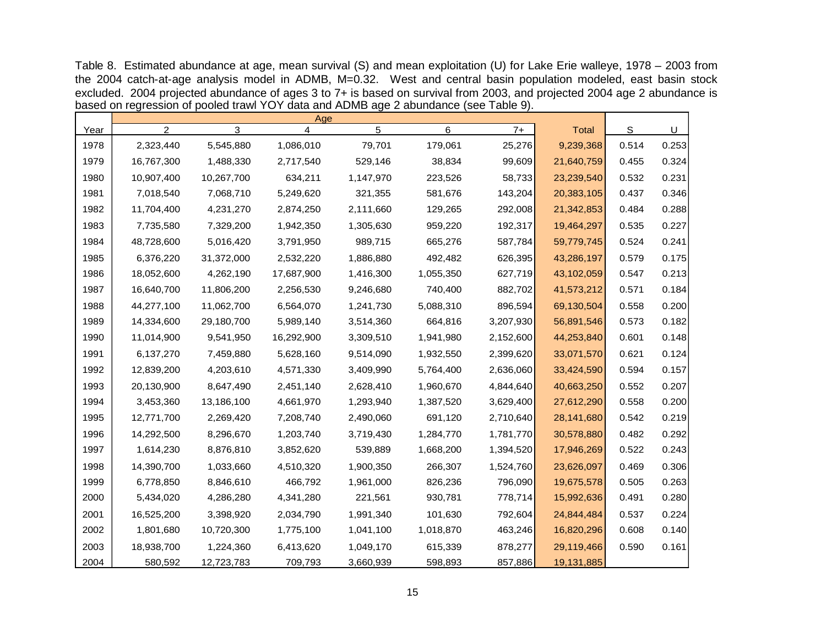Table 8. Estimated abundance at age, mean survival (S) and mean exploitation (U) for Lake Erie walleye, 1978 – 2003 from the 2004 catch-at-age analysis model in ADMB, M=0.32. West and central basin population modeled, east basin stock excluded. 2004 projected abundance of ages 3 to 7+ is based on survival from 2003, and projected 2004 age 2 abundance is based on regression of pooled trawl YOY data and ADMB age 2 abundance (see Table 9).

|      |                |            | Age                     |           |           |           |              |       |       |
|------|----------------|------------|-------------------------|-----------|-----------|-----------|--------------|-------|-------|
| Year | $\overline{2}$ | 3          | $\overline{\mathbf{4}}$ | 5         | 6         | $7+$      | <b>Total</b> | S     | U     |
| 1978 | 2,323,440      | 5,545,880  | 1,086,010               | 79,701    | 179,061   | 25,276    | 9,239,368    | 0.514 | 0.253 |
| 1979 | 16,767,300     | 1,488,330  | 2,717,540               | 529,146   | 38,834    | 99,609    | 21,640,759   | 0.455 | 0.324 |
| 1980 | 10,907,400     | 10,267,700 | 634,211                 | 1,147,970 | 223,526   | 58,733    | 23,239,540   | 0.532 | 0.231 |
| 1981 | 7,018,540      | 7,068,710  | 5,249,620               | 321,355   | 581,676   | 143,204   | 20,383,105   | 0.437 | 0.346 |
| 1982 | 11,704,400     | 4,231,270  | 2,874,250               | 2,111,660 | 129,265   | 292,008   | 21,342,853   | 0.484 | 0.288 |
| 1983 | 7,735,580      | 7,329,200  | 1,942,350               | 1,305,630 | 959,220   | 192,317   | 19,464,297   | 0.535 | 0.227 |
| 1984 | 48,728,600     | 5,016,420  | 3,791,950               | 989,715   | 665,276   | 587,784   | 59,779,745   | 0.524 | 0.241 |
| 1985 | 6,376,220      | 31,372,000 | 2,532,220               | 1,886,880 | 492,482   | 626,395   | 43,286,197   | 0.579 | 0.175 |
| 1986 | 18,052,600     | 4,262,190  | 17,687,900              | 1,416,300 | 1,055,350 | 627,719   | 43,102,059   | 0.547 | 0.213 |
| 1987 | 16,640,700     | 11,806,200 | 2,256,530               | 9,246,680 | 740,400   | 882,702   | 41,573,212   | 0.571 | 0.184 |
| 1988 | 44,277,100     | 11,062,700 | 6,564,070               | 1,241,730 | 5,088,310 | 896,594   | 69,130,504   | 0.558 | 0.200 |
| 1989 | 14,334,600     | 29,180,700 | 5,989,140               | 3,514,360 | 664,816   | 3,207,930 | 56,891,546   | 0.573 | 0.182 |
| 1990 | 11,014,900     | 9,541,950  | 16,292,900              | 3,309,510 | 1,941,980 | 2,152,600 | 44,253,840   | 0.601 | 0.148 |
| 1991 | 6,137,270      | 7,459,880  | 5,628,160               | 9,514,090 | 1,932,550 | 2,399,620 | 33,071,570   | 0.621 | 0.124 |
| 1992 | 12,839,200     | 4,203,610  | 4,571,330               | 3,409,990 | 5,764,400 | 2,636,060 | 33,424,590   | 0.594 | 0.157 |
| 1993 | 20,130,900     | 8,647,490  | 2,451,140               | 2,628,410 | 1,960,670 | 4,844,640 | 40,663,250   | 0.552 | 0.207 |
| 1994 | 3,453,360      | 13,186,100 | 4,661,970               | 1,293,940 | 1,387,520 | 3,629,400 | 27,612,290   | 0.558 | 0.200 |
| 1995 | 12,771,700     | 2,269,420  | 7,208,740               | 2,490,060 | 691,120   | 2,710,640 | 28,141,680   | 0.542 | 0.219 |
| 1996 | 14,292,500     | 8,296,670  | 1,203,740               | 3,719,430 | 1,284,770 | 1,781,770 | 30,578,880   | 0.482 | 0.292 |
| 1997 | 1,614,230      | 8,876,810  | 3,852,620               | 539,889   | 1,668,200 | 1,394,520 | 17,946,269   | 0.522 | 0.243 |
| 1998 | 14,390,700     | 1,033,660  | 4,510,320               | 1,900,350 | 266,307   | 1,524,760 | 23,626,097   | 0.469 | 0.306 |
| 1999 | 6,778,850      | 8,846,610  | 466,792                 | 1,961,000 | 826,236   | 796,090   | 19,675,578   | 0.505 | 0.263 |
| 2000 | 5,434,020      | 4,286,280  | 4,341,280               | 221,561   | 930,781   | 778,714   | 15,992,636   | 0.491 | 0.280 |
| 2001 | 16,525,200     | 3,398,920  | 2,034,790               | 1,991,340 | 101,630   | 792,604   | 24,844,484   | 0.537 | 0.224 |
| 2002 | 1,801,680      | 10,720,300 | 1,775,100               | 1,041,100 | 1,018,870 | 463,246   | 16,820,296   | 0.608 | 0.140 |
| 2003 | 18,938,700     | 1,224,360  | 6,413,620               | 1,049,170 | 615,339   | 878,277   | 29,119,466   | 0.590 | 0.161 |
| 2004 | 580,592        | 12,723,783 | 709,793                 | 3,660,939 | 598,893   | 857,886   | 19,131,885   |       |       |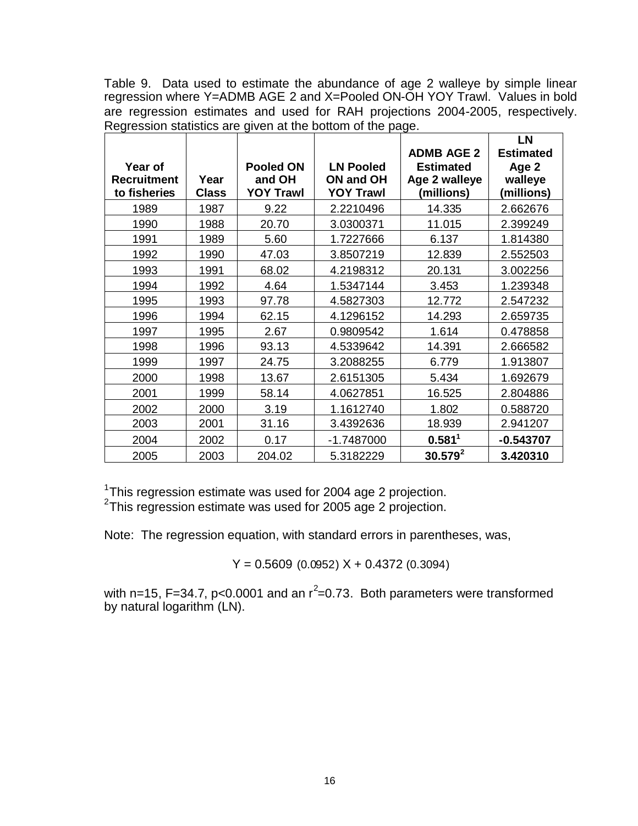Table 9. Data used to estimate the abundance of age 2 walleye by simple linear regression where Y=ADMB AGE 2 and X=Pooled ON-OH YOY Trawl. Values in bold are regression estimates and used for RAH projections 2004-2005, respectively. Regression statistics are given at the bottom of the page.

| Year of<br><b>Recruitment</b> | Year         | <b>Pooled ON</b><br>and OH | <b>LN Pooled</b><br>ON and OH | <b>ADMB AGE 2</b><br><b>Estimated</b><br>Age 2 walleye | <b>LN</b><br><b>Estimated</b><br>Age 2<br>walleye |
|-------------------------------|--------------|----------------------------|-------------------------------|--------------------------------------------------------|---------------------------------------------------|
| to fisheries                  | <b>Class</b> | <b>YOY Trawl</b>           | <b>YOY Trawl</b>              | (millions)                                             | (millions)                                        |
| 1989                          | 1987         | 9.22                       | 2.2210496                     | 14.335                                                 | 2.662676                                          |
| 1990                          | 1988         | 20.70                      | 3.0300371                     | 11.015                                                 | 2.399249                                          |
| 1991                          | 1989         | 5.60                       | 1.7227666                     | 6.137                                                  | 1.814380                                          |
| 1992                          | 1990         | 47.03                      | 3.8507219                     | 12.839                                                 | 2.552503                                          |
| 1993                          | 1991         | 68.02                      | 4.2198312                     | 20.131                                                 | 3.002256                                          |
| 1994                          | 1992         | 4.64                       | 1.5347144                     | 3.453                                                  | 1.239348                                          |
| 1995                          | 1993         | 97.78                      | 4.5827303                     | 12.772                                                 | 2.547232                                          |
| 1996                          | 1994         | 62.15                      | 4.1296152                     | 14.293                                                 | 2.659735                                          |
| 1997                          | 1995         | 2.67                       | 0.9809542                     | 1.614                                                  | 0.478858                                          |
| 1998                          | 1996         | 93.13                      | 4.5339642                     | 14.391                                                 | 2.666582                                          |
| 1999                          | 1997         | 24.75                      | 3.2088255                     | 6.779                                                  | 1.913807                                          |
| 2000                          | 1998         | 13.67                      | 2.6151305                     | 5.434                                                  | 1.692679                                          |
| 2001                          | 1999         | 58.14                      | 4.0627851                     | 16.525                                                 | 2.804886                                          |
| 2002                          | 2000         | 3.19                       | 1.1612740                     | 1.802                                                  | 0.588720                                          |
| 2003                          | 2001         | 31.16                      | 3.4392636                     | 18.939                                                 | 2.941207                                          |
| 2004                          | 2002         | 0.17                       | $-1.7487000$                  | 0.581 <sup>1</sup>                                     | $-0.543707$                                       |
| 2005                          | 2003         | 204.02                     | 5.3182229                     | 30.579 <sup>2</sup>                                    | 3.420310                                          |

<sup>1</sup>This regression estimate was used for 2004 age 2 projection.

<sup>2</sup>This regression estimate was used for 2005 age 2 projection.

Note: The regression equation, with standard errors in parentheses, was,

 $Y = 0.5609$  (0.0952)  $X + 0.4372$  (0.3094)

with n=15, F=34.7, p<0.0001 and an  $r^2$ =0.73. Both parameters were transformed by natural logarithm (LN).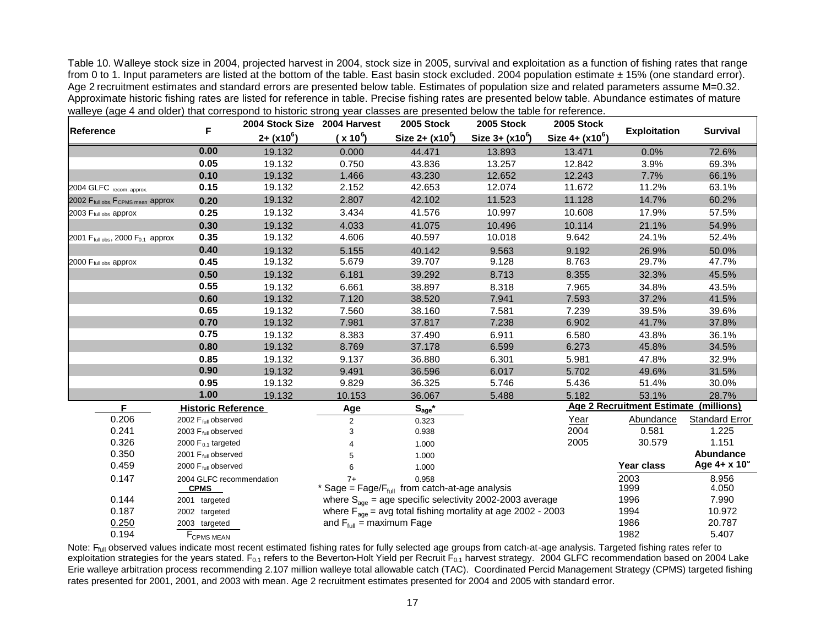Table 10. Walleye stock size in 2004, projected harvest in 2004, stock size in 2005, survival and exploitation as a function of fishing rates that range from 0 to 1. Input parameters are listed at the bottom of the table. East basin stock excluded. 2004 population estimate  $\pm 15%$  (one standard error). Age 2 recruitment estimates and standard errors are presented below table. Estimates of population size and related parameters assume M=0.32. Approximate historic fishing rates are listed for reference in table. Precise fishing rates are presented below table. Abundance estimates of mature walleye (age 4 and older) that correspond to historic strong year classes are presented below the table for reference.

| Reference                                                  |                                         | 2004 Stock Size 2004 Harvest |                                      | 2005 Stock                                                                     | 2005 Stock         | 2005 Stock                         |                                              |                       |
|------------------------------------------------------------|-----------------------------------------|------------------------------|--------------------------------------|--------------------------------------------------------------------------------|--------------------|------------------------------------|----------------------------------------------|-----------------------|
|                                                            | F                                       | $2+(x10^6)$                  | $(x 10^6)$                           | Size $2 + (x10^6)$                                                             | Size $3 + (x10^6)$ | <u>Size 4+</u> (x10 <sup>6</sup> ) | <b>Exploitation</b>                          | <b>Survival</b>       |
|                                                            | 0.00                                    | 19.132                       | 0.000                                | 44.471                                                                         | 13.893             | 13.471                             | 0.0%                                         | 72.6%                 |
|                                                            | 0.05                                    | 19.132                       | 0.750                                | 43.836                                                                         | 13.257             | 12.842                             | 3.9%                                         | 69.3%                 |
|                                                            | 0.10                                    | 19.132                       | 1.466                                | 43.230                                                                         | 12.652             | 12.243                             | 7.7%                                         | 66.1%                 |
| 2004 GLFC recom. approx.                                   | 0.15                                    | 19.132                       | 2.152                                | 42.653                                                                         | 12.074             | 11.672                             | 11.2%                                        | 63.1%                 |
| 2002 F <sub>full obs</sub> , F <sub>CPMS mean</sub> approx | 0.20                                    | 19.132                       | 2.807                                | 42.102                                                                         | 11.523             | 11.128                             | 14.7%                                        | 60.2%                 |
| 2003 $F_{\text{full obs}}$ approx                          | 0.25                                    | 19.132                       | 3.434                                | 41.576                                                                         | 10.997             | 10.608                             | 17.9%                                        | 57.5%                 |
|                                                            | 0.30                                    | 19.132                       | 4.033                                | 41.075                                                                         | 10.496             | 10.114                             | 21.1%                                        | 54.9%                 |
| 2001 $F_{\text{full obs}}$ , 2000 $F_{0.1}$ approx         | 0.35                                    | 19.132                       | 4.606                                | 40.597                                                                         | 10.018             | 9.642                              | 24.1%                                        | 52.4%                 |
|                                                            | 0.40                                    | 19.132                       | 5.155                                | 40.142                                                                         | 9.563              | 9.192                              | 26.9%                                        | 50.0%                 |
| 2000 F <sub>full obs</sub> approx                          | 0.45                                    | 19.132                       | 5.679                                | 39.707                                                                         | 9.128              | 8.763                              | 29.7%                                        | 47.7%                 |
|                                                            | 0.50                                    | 19.132                       | 6.181                                | 39.292                                                                         | 8.713              | 8.355                              | 32.3%                                        | 45.5%                 |
|                                                            | 0.55                                    | 19.132                       | 6.661                                | 38.897                                                                         | 8.318              | 7.965                              | 34.8%                                        | 43.5%                 |
|                                                            | 0.60                                    | 19.132                       | 7.120                                | 38.520                                                                         | 7.941              | 7.593                              | 37.2%                                        | 41.5%                 |
|                                                            | 0.65                                    | 19.132                       | 7.560                                | 38.160                                                                         | 7.581              | 7.239                              | 39.5%                                        | 39.6%                 |
|                                                            | 0.70                                    | 19.132                       | 7.981                                | 37.817                                                                         | 7.238              | 6.902                              | 41.7%                                        | 37.8%                 |
|                                                            | 0.75                                    | 19.132                       | 8.383                                | 37.490                                                                         | 6.911              | 6.580                              | 43.8%                                        | 36.1%                 |
|                                                            | 0.80                                    | 19.132                       | 8.769                                | 37.178                                                                         | 6.599              | 6.273                              | 45.8%                                        | 34.5%                 |
|                                                            | 0.85                                    | 19.132                       | 9.137                                | 36.880                                                                         | 6.301              | 5.981                              | 47.8%                                        | 32.9%                 |
|                                                            | 0.90                                    | 19.132                       | 9.491                                | 36.596                                                                         | 6.017              | 5.702                              | 49.6%                                        | 31.5%                 |
|                                                            | 0.95                                    | 19.132                       | 9.829                                | 36.325                                                                         | 5.746              | 5.436                              | 51.4%                                        | 30.0%                 |
|                                                            | 1.00                                    | 19.132                       | 10.153                               | 36.067                                                                         | 5.488              | 5.182                              | 53.1%                                        | 28.7%                 |
| F                                                          | <b>Historic Reference</b>               |                              | Age                                  | $S_{age}$ *                                                                    |                    |                                    | <b>Age 2 Recruitment Estimate (millions)</b> |                       |
| 0.206                                                      | 2002 F <sub>full</sub> observed         |                              | $\overline{2}$                       | 0.323                                                                          |                    | Year                               | <b>Abundance</b>                             | <b>Standard Error</b> |
| 0.241                                                      | 2003 F <sub>full</sub> observed         |                              | 3                                    | 0.938                                                                          |                    | 2004                               | 0.581                                        | 1.225                 |
| 0.326                                                      | 2000 $F_{0.1}$ targeted                 |                              |                                      | 1.000                                                                          |                    | 2005                               | 30.579                                       | 1.151                 |
| 0.350                                                      | 2001 F <sub>full</sub> observed         |                              |                                      | 1.000                                                                          |                    |                                    |                                              | Abundance             |
| 0.459                                                      | 2000 F <sub>full</sub> observed         |                              | 6                                    | 1.000                                                                          |                    |                                    | Year class                                   | Age 4+ x 10°          |
| 0.147                                                      | 2004 GLFC recommendation<br><b>CPMS</b> |                              | 7+                                   | 0.958<br>* Sage = $Fage/F_{full}$ from catch-at-age analysis                   |                    |                                    | 2003<br>1999                                 | 8.956<br>4.050        |
| 0.144                                                      | 2001 targeted                           |                              |                                      | where $S_{\text{ace}}$ = age specific selectivity 2002-2003 average            |                    |                                    | 1996                                         | 7.990                 |
| 0.187                                                      | 2002 targeted                           |                              |                                      | where $F_{\text{age}} = \text{avg}$ total fishing mortality at age 2002 - 2003 |                    | 1994                               | 10.972                                       |                       |
| 0.250                                                      | 2003 targeted                           |                              | and $F_{\text{full}}$ = maximum Fage |                                                                                |                    |                                    | 1986                                         | 20.787                |
| 0.194                                                      | F <sub>CPMS MEAN</sub>                  |                              |                                      |                                                                                |                    |                                    | 1982                                         | 5.407                 |

Note: F<sub>full</sub> observed values indicate most recent estimated fishing rates for fully selected age groups from catch-at-age analysis. Targeted fishing rates refer to exploitation strategies for the years stated. F<sub>0.1</sub> refers to the Beverton-Holt Yield per Recruit  $F_{0.1}$  harvest strategy. 2004 GLFC recommendation based on 2004 Lake Erie walleye arbitration process recommending 2.107 million walleye total allowable catch (TAC). Coordinated Percid Management Strategy (CPMS) targeted fishing rates presented for 2001, 2001, and 2003 with mean. Age 2 recruitment estimates presented for 2004 and 2005 with standard error.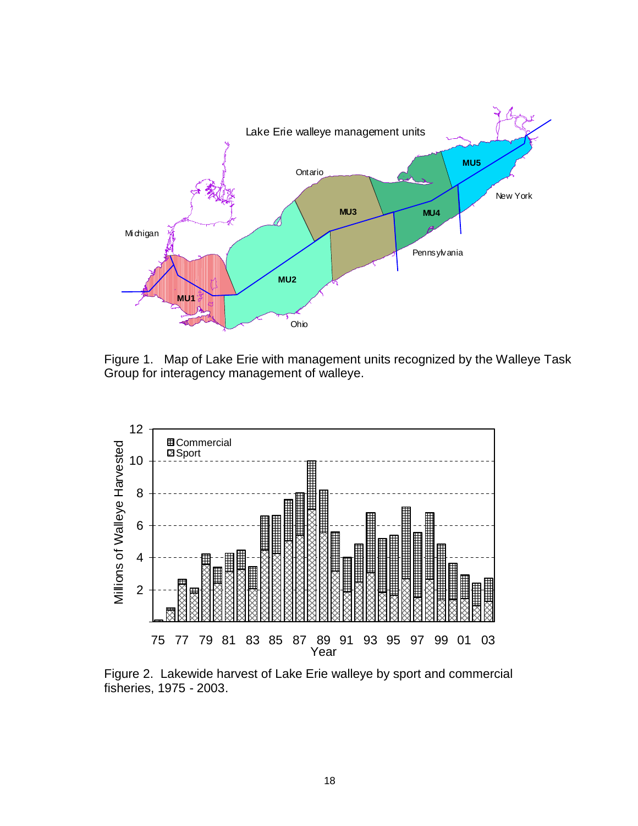

Figure 1. Map of Lake Erie with management units recognized by the Walleye Task Group for interagency management of walleye.



Figure 2. Lakewide harvest of Lake Erie walleye by sport and commercial fisheries, 1975 - 2003.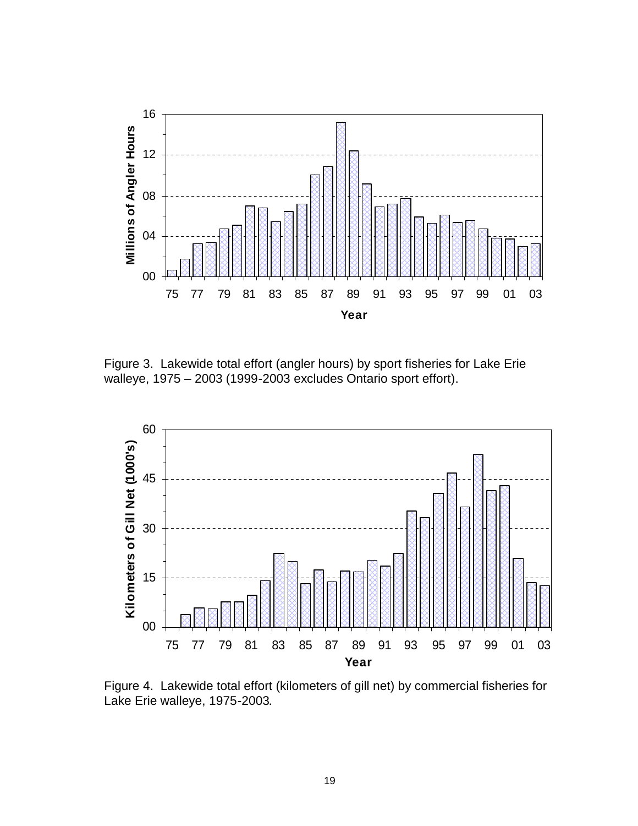

Figure 3. Lakewide total effort (angler hours) by sport fisheries for Lake Erie walleye, 1975 – 2003 (1999-2003 excludes Ontario sport effort).



Figure 4. Lakewide total effort (kilometers of gill net) by commercial fisheries for Lake Erie walleye, 1975-2003.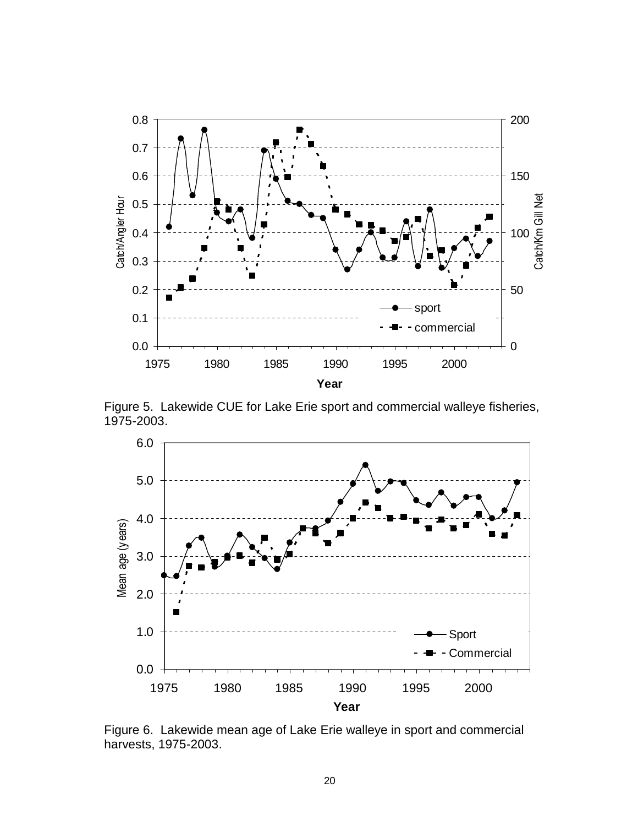

Figure 5. Lakewide CUE for Lake Erie sport and commercial walleye fisheries, 1975-2003.



Figure 6. Lakewide mean age of Lake Erie walleye in sport and commercial harvests, 1975-2003.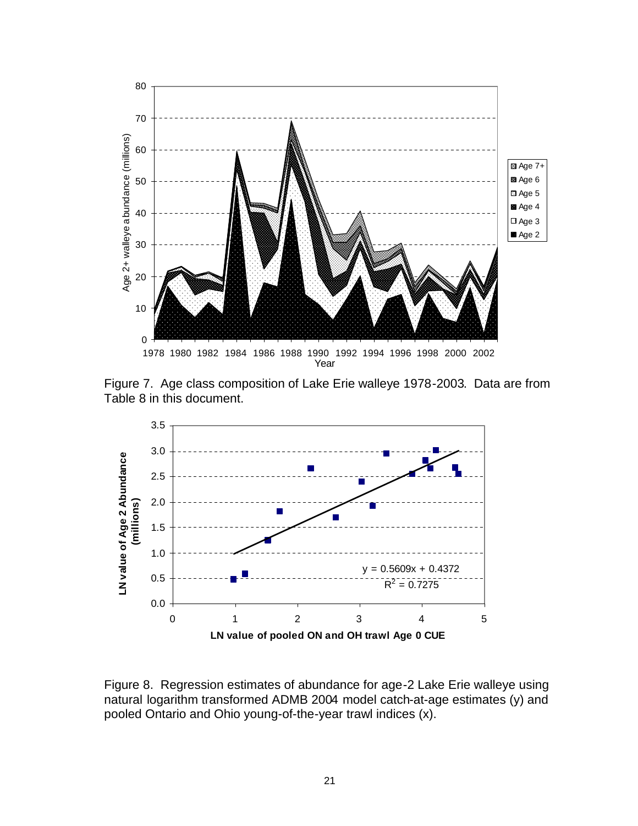

Figure 7. Age class composition of Lake Erie walleye 1978-2003. Data are from Table 8 in this document.



Figure 8. Regression estimates of abundance for age-2 Lake Erie walleye using natural logarithm transformed ADMB 2004 model catch-at-age estimates (y) and pooled Ontario and Ohio young-of-the-year trawl indices (x).